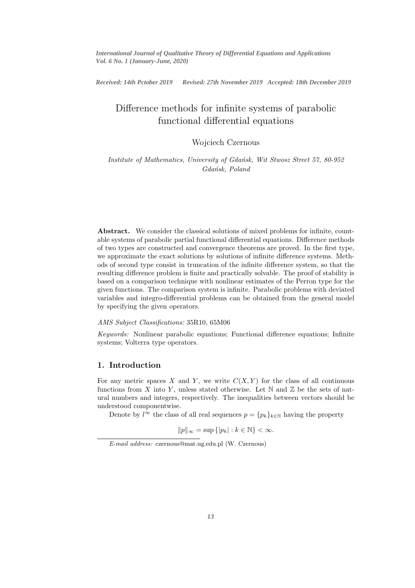*International Journal of Qualitative Theory of Differential Equations and Applications Vol. 6 No. 1 (January-June, 2020)*

Received: 14th Pctober 2019 *Received: 14th Pctober 2019 Revised: 27th November 2019 Accepted: 18th December 2019*

# Difference methods for infinite systems of parabolic functional differential equations

# Wojciech Czernous

Institute of Mathematics, University of Gdańsk, Wit Stwosz Street 57, 80-952 Gdańsk, Poland

Abstract. We consider the classical solutions of mixed problems for infinite, countable systems of parabolic partial functional differential equations. Difference methods of two types are constructed and convergence theorems are proved. In the first type, we approximate the exact solutions by solutions of infinite difference systems. Methods of second type consist in truncation of the infinite difference system, so that the resulting difference problem is finite and practically solvable. The proof of stability is based on a comparison technique with nonlinear estimates of the Perron type for the given functions. The comparison system is infinite. Parabolic problems with deviated variables and integro-differential problems can be obtained from the general model by specifying the given operators.

#### AMS Subject Classifications: 35R10, 65M06

Keywords: Nonlinear parabolic equations; Functional difference equations; Infinite systems; Volterra type operators.

## 1. Introduction

For any metric spaces X and Y, we write  $C(X, Y)$  for the class of all continuous functions from X into Y, unless stated otherwise. Let  $\mathbb N$  and  $\mathbb Z$  be the sets of natural numbers and integers, respectively. The inequalities between vectors should be understood componentwise.

Denote by  $l^{\infty}$  the class of all real sequences  $p = \{p_k\}_{k \in \mathbb{N}}$  having the property

$$
||p||_{\infty} = \sup\{|p_k| : k \in \mathbb{N}\} < \infty.
$$

E-mail address: czernous@mat.ug.edu.pl (W. Czernous)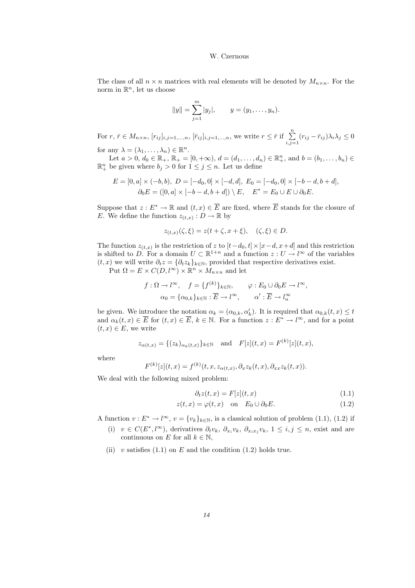The class of all  $n \times n$  matrices with real elements will be denoted by  $M_{n \times n}$ . For the norm in  $\mathbb{R}^n$ , let us choose

$$
||y|| = \sum_{j=1}^{m} |y_j|,
$$
  $y = (y_1, \ldots, y_n).$ 

For  $r, \bar{r} \in M_{n \times n}$ ,  $[r_{ij}]_{i,j=1,\dots,n}$ ,  $[\bar{r}_{ij}]_{i,j=1,\dots,n}$ , we write  $r \leq \bar{r}$  if  $\sum_{i,j=1}^{n} (r_{ij} - \bar{r}_{ij}) \lambda_i \lambda_j \leq 0$ 

for any  $\lambda = (\lambda_1, \ldots, \lambda_n) \in \mathbb{R}^n$ .

Let  $a > 0, d_0 \in \mathbb{R}_+$ ,  $\mathbb{R}_+ = [0, +\infty), d = (d_1, \dots, d_n) \in \mathbb{R}_+^n$ , and  $b = (b_1, \dots, b_n) \in$  $\mathbb{R}^n_+$  be given where  $b_j > 0$  for  $1 \leq j \leq n$ . Let us define

$$
E = [0, a] \times (-b, b), \ D = [-d_0, 0] \times [-d, d], \ E_0 = [-d_0, 0] \times [-b - d, b + d],
$$
  

$$
\partial_0 E = ([0, a] \times [-b - d, b + d]) \setminus E, \quad E^* = E_0 \cup E \cup \partial_0 E.
$$

Suppose that  $z: E^* \to \mathbb{R}$  and  $(t, x) \in \overline{E}$  are fixed, where  $\overline{E}$  stands for the closure of E. We define the function  $z_{(t,x)} : D \to \mathbb{R}$  by

$$
z_{(t,x)}(\zeta,\xi) = z(t+\zeta,x+\xi), \quad (\zeta,\xi) \in D.
$$

The function  $z_{(t,x)}$  is the restriction of z to  $[t-d_0,t] \times [x-d,x+d]$  and this restriction is shifted to D. For a domain  $U \subset \mathbb{R}^{1+n}$  and a function  $z: U \to l^{\infty}$  of the variables  $(t, x)$  we will write  $\partial_t z = {\partial_t z_k}_{k \in \mathbb{N}}$ , provided that respective derivatives exist.

Put  $\Omega = E \times C(D, l^{\infty}) \times \mathbb{R}^n \times M_{n \times n}$  and let

$$
f: \Omega \to l^{\infty}, \quad f = \{f^{(k)}\}_{k \in \mathbb{N}}, \qquad \varphi: E_0 \cup \partial_0 E \to l^{\infty},
$$

$$
\alpha_0 = \{\alpha_{0,k}\}_{k \in \mathbb{N}} : \overline{E} \to l^{\infty}, \qquad \alpha' : \overline{E} \to l^{\infty}_n
$$

be given. We introduce the notation  $\alpha_k = (\alpha_{0,k}, \alpha'_k)$ . It is required that  $\alpha_{0,k}(t, x) \leq t$ and  $\alpha_k(t,x) \in \overline{E}$  for  $(t,x) \in \overline{E}$ ,  $k \in \mathbb{N}$ . For a function  $z: E^* \to l^{\infty}$ , and for a point  $(t, x) \in E$ , we write

$$
z_{\alpha(t,x)} = \{(z_k)_{\alpha_k(t,x)}\}_{k \in \mathbb{N}} \text{ and } F[z](t,x) = F^{(k)}[z](t,x),
$$

where

$$
F^{(k)}[z](t,x) = f^{(k)}(t,x,z_{\alpha(t,x)},\partial_x z_k(t,x),\partial_{xx} z_k(t,x)).
$$

We deal with the following mixed problem:

$$
\partial_t z(t, x) = F[z](t, x) \tag{1.1}
$$

$$
z(t,x) = \varphi(t,x) \quad \text{on} \quad E_0 \cup \partial_0 E. \tag{1.2}
$$

A function  $v: E^* \to l^{\infty}$ ,  $v = \{v_k\}_{k \in \mathbb{N}}$ , is a classical solution of problem (1.1), (1.2) if

- (i)  $v \in C(E^*, \ell^{\infty})$ , derivatives  $\partial_t v_k$ ,  $\partial_{x_i} v_k$ ,  $\partial_{x_i} x_j v_k$ ,  $1 \leq i, j \leq n$ , exist and are continuous on E for all  $k \in \mathbb{N}$ ,
- (ii) v satisfies  $(1.1)$  on E and the condition  $(1.2)$  holds true.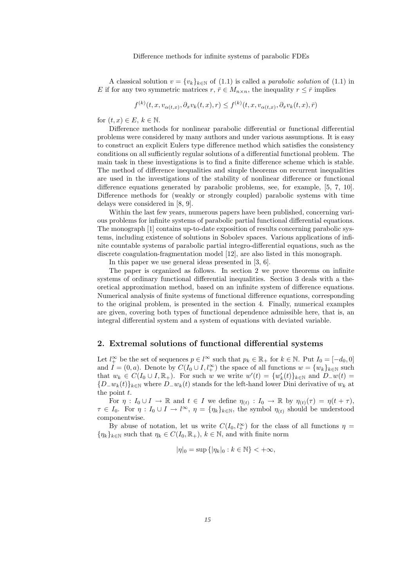A classical solution  $v = \{v_k\}_{k \in \mathbb{N}}$  of (1.1) is called a *parabolic solution* of (1.1) in E if for any two symmetric matrices  $r, \bar{r} \in M_{n \times n}$ , the inequality  $r \leq \bar{r}$  implies

 $f^{(k)}(t,x,v_{\alpha(t,x)},\partial_xv_k(t,x),r) \leq f^{(k)}(t,x,v_{\alpha(t,x)},\partial_xv_k(t,x),\bar{r})$ 

for  $(t, x) \in E, k \in \mathbb{N}$ .

Difference methods for nonlinear parabolic differential or functional differential problems were considered by many authors and under various assumptions. It is easy to construct an explicit Eulers type difference method which satisfies the consistency conditions on all sufficiently regular solutions of a differential functional problem. The main task in these investigations is to find a finite difference scheme which is stable. The method of difference inequalities and simple theorems on recurrent inequalities are used in the investigations of the stability of nonlinear difference or functional difference equations generated by parabolic problems, see, for example, [5, 7, 10]. Difference methods for (weakly or strongly coupled) parabolic systems with time delays were considered in [8, 9].

Within the last few years, numerous papers have been published, concerning various problems for infinite systems of parabolic partial functional differential equations. The monograph [1] contains up-to-date exposition of results concerning parabolic systems, including existence of solutions in Sobolev spaces. Various applications of infinite countable systems of parabolic partial integro-differential equations, such as the discrete coagulation-fragmentation model [12], are also listed in this monograph.

In this paper we use general ideas presented in [3, 6].

The paper is organized as follows. In section 2 we prove theorems on infinite systems of ordinary functional differential inequalities. Section 3 deals with a theoretical approximation method, based on an infinite system of difference equations. Numerical analysis of finite systems of functional difference equations, corresponding to the original problem, is presented in the section 4. Finally, numerical examples are given, covering both types of functional dependence admissible here, that is, an integral differential system and a system of equations with deviated variable.

### 2. Extremal solutions of functional differential systems

Let  $l_+^{\infty}$  be the set of sequences  $p \in l^{\infty}$  such that  $p_k \in \mathbb{R}_+$  for  $k \in \mathbb{N}$ . Put  $I_0 = [-d_0, 0]$ and  $I = (0, a)$ . Denote by  $C(I_0 \cup I, l_+^{\infty})$  the space of all functions  $w = \{w_k\}_{k \in \mathbb{N}}$  such that  $w_k \in C(I_0 \cup I, \mathbb{R}_+)$ . For such w we write  $w'(t) = \{w'_k(t)\}_{k \in \mathbb{N}}$  and  $D_{-}w(t) =$  ${D_w_k(t)}_{k \in \mathbb{N}}$  where  $D_w_k(t)$  stands for the left-hand lower Dini derivative of  $w_k$  at the point  $t$ .

For  $\eta: I_0 \cup I \to \mathbb{R}$  and  $t \in I$  we define  $\eta_{(t)}: I_0 \to \mathbb{R}$  by  $\eta_{(t)}(\tau) = \eta(t + \tau)$ ,  $\tau \in I_0$ . For  $\eta: I_0 \cup I \to l^{\infty}$ ,  $\eta = {\eta_k}_{k \in \mathbb{N}}$ , the symbol  $\eta_{(t)}$  should be understood componentwise.

By abuse of notation, let us write  $C(I_0, l_+^{\infty})$  for the class of all functions  $\eta =$  ${\{\eta_k\}_{k\in\mathbb{N}}}$  such that  $\eta_k \in C(I_0,\mathbb{R}_+), k \in \mathbb{N}$ , and with finite norm

$$
|\eta|_0 = \sup\left\{|\eta_k|_0 : k \in \mathbb{N}\right\} < +\infty,
$$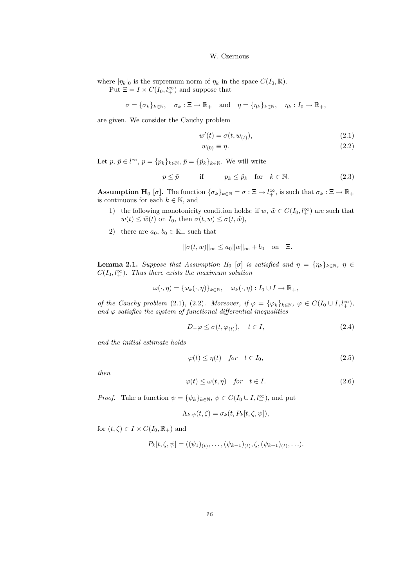where  $|\eta_k|_0$  is the supremum norm of  $\eta_k$  in the space  $C(I_0,\mathbb{R})$ .

Put  $\Xi = I \times C(I_0, l_+^{\infty})$  and suppose that

$$
\sigma = {\sigma_k}_{k \in \mathbb{N}}, \quad \sigma_k : \Xi \to \mathbb{R}_+ \quad \text{and} \quad \eta = {\eta_k}_{k \in \mathbb{N}}, \quad \eta_k : I_0 \to \mathbb{R}_+,
$$

are given. We consider the Cauchy problem

$$
w'(t) = \sigma(t, w_{(t)}), \tag{2.1}
$$

$$
w_{(0)} \equiv \eta. \tag{2.2}
$$

Let  $p, \tilde{p} \in l^{\infty}, p = \{p_k\}_{k \in \mathbb{N}}, \tilde{p} = \{\tilde{p}_k\}_{k \in \mathbb{N}}$ . We will write

$$
p \le \tilde{p} \qquad \text{if} \qquad p_k \le \tilde{p}_k \quad \text{for} \quad k \in \mathbb{N}. \tag{2.3}
$$

**Assumption H**<sub>0</sub> [ $\sigma$ ]. The function  $\{\sigma_k\}_{k\in\mathbb{N}} = \sigma : \Xi \to l_+^{\infty}$ , is such that  $\sigma_k : \Xi \to \mathbb{R}_+$ is continuous for each  $k \in \mathbb{N}$ , and

- 1) the following monotonicity condition holds: if  $w, \, \tilde{w} \in C(I_0, l_+^{\infty})$  are such that  $w(t) \leq \tilde{w}(t)$  on  $I_0$ , then  $\sigma(t, w) \leq \sigma(t, \tilde{w})$ ,
- 2) there are  $a_0, b_0 \in \mathbb{R}_+$  such that

$$
\|\sigma(t, w)\|_{\infty} \le a_0 \|w\|_{\infty} + b_0 \quad \text{on} \quad \Xi.
$$

**Lemma 2.1.** Suppose that Assumption H<sub>0</sub> [σ] is satisfied and  $\eta = {\eta_k}_{k \in \mathbb{N}}, \eta \in$  $C(I_0, l_+^{\infty})$ . Thus there exists the maximum solution

$$
\omega(\cdot, \eta) = {\omega_k(\cdot, \eta)}_{k \in \mathbb{N}}, \quad \omega_k(\cdot, \eta) : I_0 \cup I \to \mathbb{R}_+,
$$

of the Cauchy problem (2.1), (2.2). Moreover, if  $\varphi = {\varphi_k}_{k \in \mathbb{N}}, \varphi \in C(I_0 \cup I, l_+^{\infty}),$ and  $\varphi$  satisfies the system of functional differential inequalities

$$
D_{-}\varphi \le \sigma(t, \varphi_{(t)}), \quad t \in I,
$$
\n
$$
(2.4)
$$

and the initial estimate holds

$$
\varphi(t) \le \eta(t) \quad \text{for} \quad t \in I_0,\tag{2.5}
$$

then

$$
\varphi(t) \le \omega(t, \eta) \quad \text{for} \quad t \in I. \tag{2.6}
$$

*Proof.* Take a function  $\psi = {\psi_k}_{k \in \mathbb{N}}, \psi \in C(I_0 \cup I, l_+^{\infty})$ , and put

$$
\Lambda_{k.\psi}(t,\zeta)=\sigma_k(t,P_k[t,\zeta,\psi]),
$$

for  $(t,\zeta) \in I \times C(I_0,\mathbb{R}_+)$  and

$$
P_k[t,\zeta,\psi] = ((\psi_1)_{(t)},\ldots,(\psi_{k-1})_{(t)},\zeta,(\psi_{k+1})_{(t)},\ldots).
$$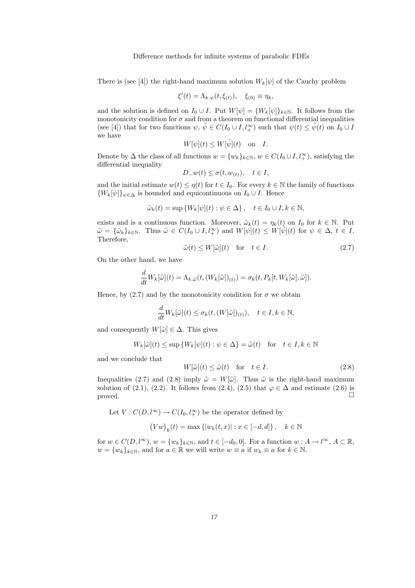There is (see [4]) the right-hand maximum solution  $W_k[\psi]$  of the Cauchy problem

$$
\xi'(t) = \Lambda_{k.\psi}(t,\xi_{(t)}), \quad \xi_{(0)} \equiv \eta_k,
$$

and the solution is defined on  $I_0 \cup I$ . Put  $W[\psi] = \{W_k[\psi]\}_{k \in \mathbb{N}}$ . It follows from the monotonicity condition for  $\sigma$  and from a theorem on functional differential inequalities (see [4]) that for two functions  $\psi, \, \tilde{\psi} \in C(I_0 \cup I, l_+^{\infty})$  such that  $\psi(t) \leq \tilde{\psi}(t)$  on  $I_0 \cup I$ we have

$$
W[\psi](t) \le W[\tilde{\psi}](t) \quad \text{on} \quad I.
$$

Denote by  $\Delta$  the class of all functions  $w = \{w_k\}_{k \in \mathbb{N}}$ ,  $w \in C(I_0 \cup I, l_+^{\infty})$ , satisfying the differential inequality

$$
D_{-}w(t) \le \sigma(t, w_{(t)}), \quad t \in I,
$$

and the initial estimate  $w(t) \leq \eta(t)$  for  $t \in I_0$ . For every  $k \in \mathbb{N}$  the family of functions  ${W_k[\psi]}_{\psi \in \Delta}$  is bounded and equicontinuous on  $I_0 \cup I$ . Hence

$$
\tilde{\omega}_k(t) = \sup \{ W_k[\psi](t) : \psi \in \Delta \}, \quad t \in I_0 \cup I, k \in \mathbb{N},
$$

exists and is a continuous function. Moreover,  $\tilde{\omega}_k(t) = \eta_k(t)$  on  $I_0$  for  $k \in \mathbb{N}$ . Put  $\tilde{\omega} = {\{\tilde{\omega}_k\}_{k\in\mathbb{N}}}.$  Thus  $\tilde{\omega} \in C(I_0 \cup I, l_+^{\infty})$  and  $W[\psi](t) \leq W[\tilde{\psi}](t)$  for  $\psi \in \Delta, t \in I$ . Therefore,

$$
\tilde{\omega}(t) \le W[\tilde{\omega}](t) \quad \text{for} \quad t \in I. \tag{2.7}
$$

On the other hand, we have

$$
\frac{d}{dt}W_k[\tilde{\omega}](t) = \Lambda_{k.\tilde{\omega}}(t, (W_k[\tilde{\omega}])_{(t)}) = \sigma_k(t, P_k[t, W_k[\tilde{\omega}], \tilde{\omega}]).
$$

Hence, by (2.7) and by the monotonicity condition for  $\sigma$  we obtain

$$
\frac{d}{dt}W_k[\tilde{\omega}](t) \le \sigma_k(t, (W[\tilde{\omega}])_{(t)}), \quad t \in I, k \in \mathbb{N},
$$

and consequently  $W[\tilde{\omega}] \in \Delta$ . This gives

$$
W_k[\tilde{\omega}](t) \le \sup \{ W_k[\psi](t) : \psi \in \Delta \} = \tilde{\omega}(t) \quad \text{for} \quad t \in I, k \in \mathbb{N}
$$

and we conclude that

$$
W[\tilde{\omega}](t) \le \tilde{\omega}(t) \quad \text{for} \quad t \in I. \tag{2.8}
$$

Inequalities (2.7) and (2.8) imply  $\tilde{\omega} = W[\tilde{\omega}]$ . Thus  $\tilde{\omega}$  is the right-hand maximum solution of (2.1), (2.2). It follows from (2.4), (2.5) that  $\varphi \in \Delta$  and estimate (2.6) is proved proved.  $\Box$ 

Let  $V: C(D, l^{\infty}) \to C(I_0, l^{\infty}_+)$  be the operator defined by

$$
\left(Vw\right)_k(t) = \max\left\{|w_k(t,x)| : x \in [-d,d]\right\}, \quad k \in \mathbb{N}
$$

for  $w \in C(D, l^{\infty})$ ,  $w = \{w_k\}_{k \in \mathbb{N}}$ , and  $t \in [-d_0, 0]$ . For a function  $w : A \to l^{\infty}$ ,  $A \subset \mathbb{R}$ ,  $w = \{w_k\}_{k \in \mathbb{N}}$ , and for  $a \in \mathbb{R}$  we will write  $w \equiv a$  if  $w_k \equiv a$  for  $k \in \mathbb{N}$ .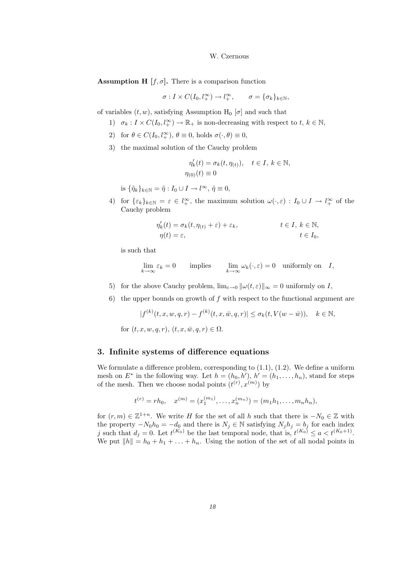**Assumption H**  $[f, \sigma]$ . There is a comparison function

$$
\sigma: I \times C(I_0, l_+^{\infty}) \to l_+^{\infty}, \qquad \sigma = {\{\sigma_k\}}_{k \in \mathbb{N}},
$$

of variables  $(t, w)$ , satisfying Assumption H<sub>0</sub> [ $\sigma$ ] and such that

- 1)  $\sigma_k: I \times C(I_0, l_+^{\infty}) \to \mathbb{R}_+$  is non-decreasing with respect to  $t, k \in \mathbb{N}$ ,
- 2) for  $\theta \in C(I_0, l_+^{\infty}), \theta \equiv 0$ , holds  $\sigma(\cdot, \theta) \equiv 0$ ,
- 3) the maximal solution of the Cauchy problem

$$
\eta'_k(t) = \sigma_k(t, \eta_{(t)}), \quad t \in I, \ k \in \mathbb{N},
$$
  

$$
\eta_{(0)}(t) \equiv 0
$$

is  $\{\tilde{\eta}_k\}_{k\in\mathbb{N}} = \tilde{\eta}: I_0 \cup I \to l^{\infty}, \tilde{\eta} \equiv 0,$ 

4) for  $\{\varepsilon_k\}_{k\in\mathbb{N}} = \varepsilon \in l^{\infty}_+$ , the maximum solution  $\omega(\cdot,\varepsilon) : I_0 \cup I \to l^{\infty}_+$  of the Cauchy problem

$$
\eta'_k(t) = \sigma_k(t, \eta_{(t)} + \varepsilon) + \varepsilon_k, \qquad t \in I, \ k \in \mathbb{N},
$$
  

$$
\eta(t) = \varepsilon, \qquad t \in I_0,
$$

is such that

$$
\lim_{k \to \infty} \varepsilon_k = 0 \qquad \text{implies} \qquad \lim_{k \to \infty} \omega_k(\cdot,\varepsilon) = 0 \quad \text{uniformly on} \quad I,
$$

- 5) for the above Cauchy problem,  $\lim_{\varepsilon\to 0} ||\omega(t,\varepsilon)||_{\infty} = 0$  uniformly on I,
- 6) the upper bounds on growth of  $f$  with respect to the functional argument are

$$
|f^{(k)}(t, x, w, q, r) - f^{(k)}(t, x, \bar{w}, q, r)| \leq \sigma_k(t, V(w - \bar{w})), \quad k \in \mathbb{N},
$$

for  $(t, x, w, q, r)$ ,  $(t, x, \overline{w}, q, r) \in \Omega$ .

#### 3. Infinite systems of difference equations

We formulate a difference problem, corresponding to  $(1.1)$ ,  $(1.2)$ . We define a uniform mesh on  $E^*$  in the following way. Let  $h = (h_0, h'), h' = (h_1, \ldots, h_n)$ , stand for steps of the mesh. Then we choose nodal points  $(t^{(r)}, x^{(m)})$  by

$$
t^{(r)} = rh_0, \quad x^{(m)} = (x_1^{(m_1)}, \dots, x_n^{(m_n)}) = (m_1h_1, \dots, m_nh_n),
$$

for  $(r, m) \in \mathbb{Z}^{1+n}$ . We write H for the set of all h such that there is  $-N_0 \in \mathbb{Z}$  with the property  $-N_0h_0 = -d_0$  and there is  $N_j \in \mathbb{N}$  satisfying  $N_jh_j = b_j$  for each index j such that  $d_j = 0$ . Let  $t^{(K_0)}$  be the last temporal node, that is,  $t^{(K_0)} \le a < t^{(K_0+1)}$ . We put  $||h|| = h_0 + h_1 + \ldots + h_n$ . Using the notion of the set of all nodal points in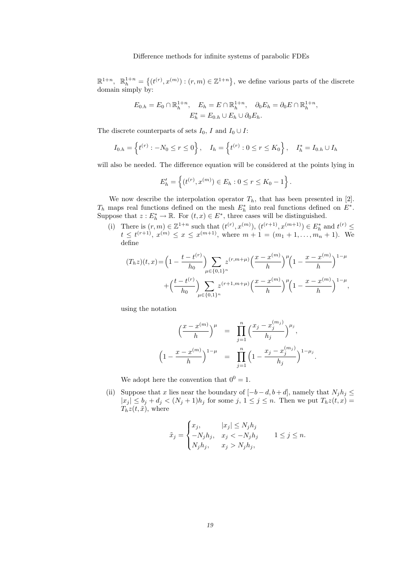$\mathbb{R}^{1+n}$ ,  $\mathbb{R}^{1+n}_h = \{(t^{(r)}, x^{(m)}): (r,m) \in \mathbb{Z}^{1+n}\},\$ we define various parts of the discrete domain simply by:

$$
E_{0,h} = E_0 \cap \mathbb{R}^{1+n}_h, \quad E_h = E \cap \mathbb{R}^{1+n}_h, \quad \partial_0 E_h = \partial_0 E \cap \mathbb{R}^{1+n}_h,
$$
  

$$
E_h^* = E_{0,h} \cup E_h \cup \partial_0 E_h.
$$

The discrete counterparts of sets  $I_0, \, I$  and  $I_0 \cup I:$ 

$$
I_{0,h} = \left\{ t^{(r)} : -N_0 \le r \le 0 \right\}, \quad I_h = \left\{ t^{(r)} : 0 \le r \le K_0 \right\}, \quad I_h^* = I_{0,h} \cup I_h
$$

will also be needed. The difference equation will be considered at the points lying in

$$
E'_{h} = \left\{ (t^{(r)}, x^{(m)}) \in E_{h} : 0 \le r \le K_0 - 1 \right\}.
$$

We now describe the interpolation operator  $T_h$ , that has been presented in [2].  $T_h$  maps real functions defined on the mesh  $E_h^*$  into real functions defined on  $E^*$ . Suppose that  $z: E_h^* \to \mathbb{R}$ . For  $(t, x) \in E^*$ , three cases will be distinguished.

(i) There is  $(r, m) \in \mathbb{Z}^{1+n}$  such that  $(t^{(r)}, x^{(m)})$ ,  $(t^{(r+1)}, x^{(m+1)}) \in E_h^*$  and  $t^{(r)} \le$  $t \leq t^{(r+1)}$ ,  $x^{(m)} \leq x \leq x^{(m+1)}$ , where  $m+1 = (m_1+1,\ldots,m_n+1)$ . We define

$$
(T_h z)(t, x) = \left(1 - \frac{t - t^{(r)}}{h_0}\right) \sum_{\mu \in \{0, 1\}^n} z^{(r, m + \mu)} \left(\frac{x - x^{(m)}}{h}\right)^{\mu} \left(1 - \frac{x - x^{(m)}}{h}\right)^{1 - \mu} + \left(\frac{t - t^{(r)}}{h_0}\right) \sum_{\mu \in \{0, 1\}^n} z^{(r + 1, m + \mu)} \left(\frac{x - x^{(m)}}{h}\right)^{\mu} \left(1 - \frac{x - x^{(m)}}{h}\right)^{1 - \mu},
$$

using the notation

$$
\left(\frac{x-x^{(m)}}{h}\right)^{\mu} = \prod_{j=1}^{n} \left(\frac{x_j - x_j^{(m_j)}}{h_j}\right)^{\mu_j},
$$

$$
\left(1 - \frac{x-x^{(m)}}{h}\right)^{1-\mu} = \prod_{j=1}^{n} \left(1 - \frac{x_j - x_j^{(m_j)}}{h_j}\right)^{1-\mu_j}.
$$

We adopt here the convention that  $0^0 = 1$ .

(ii) Suppose that x lies near the boundary of  $[-b-d, b+d]$ , namely that  $N_j h_j \leq$  $|x_j| \leq b_j + d_j < (N_j + 1)h_j$  for some  $j, 1 \leq j \leq n$ . Then we put  $T_h z(t, x) =$  $T_h z(t, \tilde{x})$ , where

$$
\tilde{x}_j = \begin{cases} x_j, & |x_j| \le N_j h_j \\ -N_j h_j, & x_j < -N_j h_j \\ N_j h_j, & x_j > N_j h_j, \end{cases} \quad 1 \le j \le n.
$$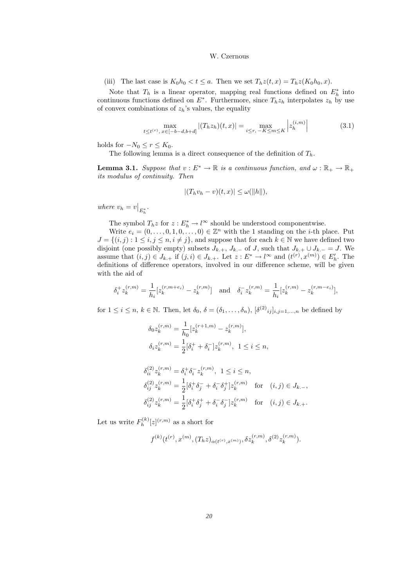(iii) The last case is  $K_0h_0 < t \le a$ . Then we set  $T_hz(t,x) = T_hz(K_0h_0,x)$ .

Note that  $T_h$  is a linear operator, mapping real functions defined on  $E_h^*$  into continuous functions defined on  $E^*$ . Furthermore, since  $T_h z_h$  interpolates  $z_h$  by use of convex combinations of  $z_h$ 's values, the equality

$$
\max_{t \le t^{(r)}, x \in [-b-d, b+d]} |(T_h z_h)(t, x)| = \max_{i \le r, -K \le m \le K} |z_h^{(i,m)}|
$$
(3.1)

holds for  $-N_0 \le r \le K_0$ .

The following lemma is a direct consequence of the definition of  $T_h$ .

**Lemma 3.1.** Suppose that  $v : E^* \to \mathbb{R}$  is a continuous function, and  $\omega : \mathbb{R}_+ \to \mathbb{R}_+$ its modulus of continuity. Then

$$
|(T_h v_h - v)(t, x)| \le \omega(||h||),
$$

where  $v_h = v|_{E_h^*}.$ 

The symbol  $T_h z$  for  $z: E_h^* \to l^{\infty}$  should be understood componentwise.

Write  $e_i = (0, \ldots, 0, 1, 0, \ldots, 0) \in \mathbb{Z}^n$  with the 1 standing on the *i*-th place. Put  $J = \{(i, j) : 1 \le i, j \le n, i \ne j\}$ , and suppose that for each  $k \in \mathbb{N}$  we have defined two disjoint (one possibly empty) subsets  $J_{k,+}$ ,  $J_{k,-}$  of  $J$ , such that  $J_{k,+} \cup J_{k,-} = J$ . We assume that  $(i, j) \in J_{k+1}$  if  $(j, i) \in J_{k+1}$ . Let  $z : E^* \to l^{\infty}$  and  $(t^{(r)}, x^{(m)}) \in E'_{h}$ . The definitions of difference operators, involved in our difference scheme, will be given with the aid of

$$
\delta_i^+ z_k^{(r,m)} = \frac{1}{h_i} [z_k^{(r,m+e_i)} - z_k^{(r,m)}] \quad \text{and} \quad \delta_i^- z_k^{(r,m)} = \frac{1}{h_i} [z_k^{(r,m)} - z_k^{(r,m-e_i)}],
$$

for  $1 \leq i \leq n, k \in \mathbb{N}$ . Then, let  $\delta_0, \delta = (\delta_1, \ldots, \delta_n), [\delta^{(2)}_{ij}]_{i,j=1,\ldots,n}$  be defined by

$$
\delta_0 z_k^{(r,m)} = \frac{1}{h_0} [z_k^{(r+1,m)} - z_k^{(r,m)}],
$$
  
\n
$$
\delta_i z_k^{(r,m)} = \frac{1}{2} [\delta_i^+ + \delta_i^-] z_k^{(r,m)}, \ 1 \le i \le n,
$$

$$
\begin{aligned}\n\delta_{ii}^{(2)} z_k^{(r,m)} &= \delta_i^+ \delta_i^- z_k^{(r,m)}, \ 1 \le i \le n, \\
\delta_{ij}^{(2)} z_k^{(r,m)} &= \frac{1}{2} [\delta_i^+ \delta_j^- + \delta_i^- \delta_j^+] z_k^{(r,m)} \quad \text{for} \quad (i,j) \in J_{k,-}, \\
\delta_{ij}^{(2)} z_k^{(r,m)} &= \frac{1}{2} [\delta_i^+ \delta_j^+ + \delta_i^- \delta_j^-] z_k^{(r,m)} \quad \text{for} \quad (i,j) \in J_{k,+}.\n\end{aligned}
$$

Let us write  $F_h^{(k)}$  $\int_h^{(k)} [z]^{(r,m)}$  as a short for

$$
f^{(k)}(t^{(r)}, x^{(m)}, (T_h z)_{\alpha(t^{(r)}, x^{(m)})}, \delta z_k^{(r,m)}, \delta^{(2)} z_k^{(r,m)})
$$
.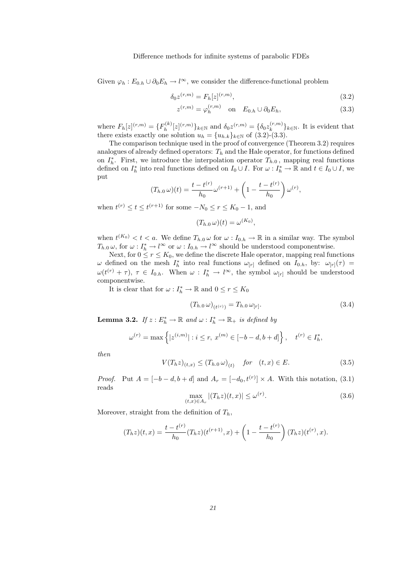Given  $\varphi_h : E_{0,h} \cup \partial_0 E_h \to l^{\infty}$ , we consider the difference-functional problem

$$
\delta_0 z^{(r,m)} = F_h[z]^{(r,m)},\tag{3.2}
$$

$$
z^{(r,m)} = \varphi_h^{(r,m)} \quad \text{on} \quad E_{0,h} \cup \partial_0 E_h,\tag{3.3}
$$

where  $F_h[z]^{(r,m)} = \{F_h^{(k)}\}$  $\delta_h^{(k)}[z]^{(r,m)}\}_{k \in \mathbb{N}}$  and  $\delta_0 z^{(r,m)} = \{\delta_0 z_k^{(r,m)}\}$  $\{k^{(r,m)}\}_{k\in\mathbb{N}}$ . It is evident that there exists exactly one solution  $u_h = \{u_{h,k}\}_{k \in \mathbb{N}}$  of  $(3.2)-(3.3)$ .

The comparison technique used in the proof of convergence (Theorem 3.2) requires analogues of already defined operators:  $T_h$  and the Hale operator, for functions defined on  $I_h^*$ . First, we introduce the interpolation operator  $T_{h,0}$ , mapping real functions defined on  $I_h^*$  into real functions defined on  $I_0 \cup I$ . For  $\omega: I_h^* \to \mathbb{R}$  and  $t \in I_0 \cup I$ , we put

$$
(T_{h.0} \omega)(t) = \frac{t - t^{(r)}}{h_0} \omega^{(r+1)} + \left(1 - \frac{t - t^{(r)}}{h_0}\right) \omega^{(r)},
$$

when  $t^{(r)} \le t \le t^{(r+1)}$  for some  $-N_0 \le r \le K_0 - 1$ , and

$$
(T_{h.0} \,\omega)(t) = \omega^{(K_0)}
$$

,

when  $t^{(K_0)} < t < a$ . We define  $T_{h,0} \omega$  for  $\omega : I_{0,h} \to \mathbb{R}$  in a similar way. The symbol  $T_{h,0}\,\omega$ , for  $\omega: I_h^*\to l^\infty$  or  $\omega: I_{0,h}\to l^\infty$  should be understood componentwise.

Next, for  $0 \le r \le K_0$ , we define the discrete Hale operator, mapping real functions  $ω$  defined on the mesh  $I_h^*$  into real functions  $ω_{[r]}$  defined on  $I_{0,h}$ , by:  $ω_{[r]}(τ)$  =  $\omega(t^{(r)} + \tau)$ ,  $\tau \in I_{0,h}$ . When  $\omega: I_h^* \to l^{\infty}$ , the symbol  $\omega_{[r]}$  should be understood componentwise.

It is clear that for  $\omega: I_h^* \to \mathbb{R}$  and  $0 \le r \le K_0$ 

$$
(T_{h.0} \,\omega)_{(t^{(r)})} = T_{h.0} \,\omega_{[r]}.\tag{3.4}
$$

**Lemma 3.2.** If  $z: E_h^* \to \mathbb{R}$  and  $\omega: I_h^* \to \mathbb{R}_+$  is defined by

$$
\omega^{(r)} = \max\left\{ |z^{(i,m)}| : i \le r, \ x^{(m)} \in [-b-d, b+d] \right\}, \quad t^{(r)} \in I_h^*,
$$

then

$$
V(T_h z)_{(t,x)} \le (T_{h.0} \,\omega)_{(t)} \quad \text{for} \quad (t,x) \in E. \tag{3.5}
$$

*Proof.* Put  $A = [-b - d, b + d]$  and  $A_r = [-d_0, t^{(r)}] \times A$ . With this notation, (3.1) reads

$$
\max_{(t,x)\in A_r} |(T_h z)(t,x)| \le \omega^{(r)}.
$$
\n(3.6)

Moreover, straight from the definition of  $T_h$ ,

$$
(T_h z)(t, x) = \frac{t - t^{(r)}}{h_0} (T_h z)(t^{(r+1)}, x) + \left(1 - \frac{t - t^{(r)}}{h_0}\right) (T_h z)(t^{(r)}, x).
$$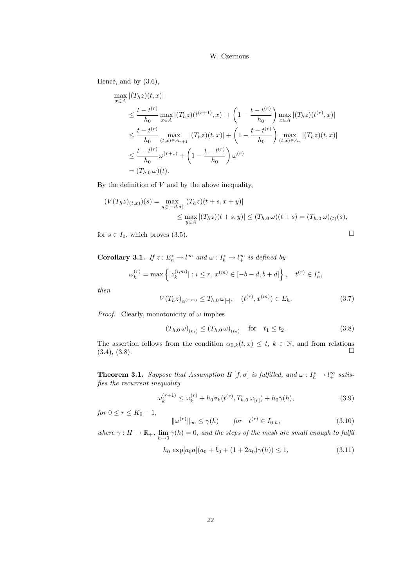Hence, and by (3.6),

$$
\max_{x \in A} |(T_h z)(t, x)|
$$
\n
$$
\leq \frac{t - t^{(r)}}{h_0} \max_{x \in A} |(T_h z)(t^{(r+1)}, x)| + \left(1 - \frac{t - t^{(r)}}{h_0}\right) \max_{x \in A} |(T_h z)(t^{(r)}, x)|
$$
\n
$$
\leq \frac{t - t^{(r)}}{h_0} \max_{(t, x) \in A_{r+1}} |(T_h z)(t, x)| + \left(1 - \frac{t - t^{(r)}}{h_0}\right) \max_{(t, x) \in A_r} |(T_h z)(t, x)|
$$
\n
$$
\leq \frac{t - t^{(r)}}{h_0} \omega^{(r+1)} + \left(1 - \frac{t - t^{(r)}}{h_0}\right) \omega^{(r)}
$$
\n
$$
= (T_{h,0} \omega)(t).
$$

By the definition of  $V$  and by the above inequality,

$$
(V(T_h z)_{(t,x)})(s) = \max_{y \in [-d,d]} |(T_h z)(t+s, x+y)|
$$
  
\$\leq\$  $\max_{y \in A} |(T_h z)(t+s, y)| \leq (T_{h,0} \omega)(t+s) = (T_{h,0} \omega)_{(t)}(s),$ 

for  $s \in I_0$ , which proves (3.5).

**Corollary 3.1.** If  $z : E_h^* \to l^{\infty}$  and  $\omega : I_h^* \to l^{\infty}$  is defined by

$$
\omega_k^{(r)} = \max \left\{ |z_k^{(i,m)}| : i \le r, \ x^{(m)} \in [-b-d, b+d] \right\}, \quad t^{(r)} \in I_h^*,
$$

then

$$
V(T_h z)_{\alpha^{(r,m)}} \le T_{h.0} \,\omega_{[r]}, \quad (t^{(r)}, x^{(m)}) \in E_h. \tag{3.7}
$$

*Proof.* Clearly, monotonicity of  $\omega$  implies

$$
(T_{h.0} \,\omega)_{(t_1)} \le (T_{h.0} \,\omega)_{(t_2)} \quad \text{for} \quad t_1 \le t_2. \tag{3.8}
$$

The assertion follows from the condition  $\alpha_{0,k}(t,x) \leq t, k \in \mathbb{N}$ , and from relations  $(3.4), (3.8).$ 

**Theorem 3.1.** Suppose that Assumption H  $[f, \sigma]$  is fulfilled, and  $\omega : I_h^* \to l_+^{\infty}$  satisfies the recurrent inequality

$$
\omega_k^{(r+1)} \le \omega_k^{(r)} + h_0 \sigma_k(t^{(r)}, T_{h,0} \omega_{[r]}) + h_0 \gamma(h), \tag{3.9}
$$

for  $0 \le r \le K_0 - 1$ ,

$$
\|\omega^{(r)}\|_{\infty} \le \gamma(h) \qquad \text{for} \quad t^{(r)} \in I_{0,h},\tag{3.10}
$$

where  $\gamma: H \to \mathbb{R}_+$ ,  $\lim_{h \to 0} \gamma(h) = 0$ , and the steps of the mesh are small enough to fulfil

$$
h_0 \exp[a_0 a](a_0 + b_0 + (1 + 2a_0)\gamma(h)) \le 1,
$$
\n(3.11)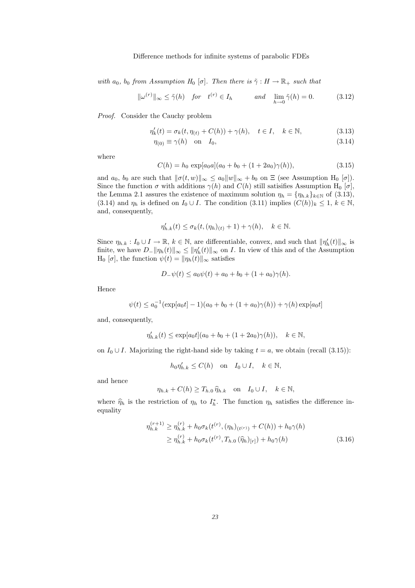with  $a_0$ ,  $b_0$  from Assumption  $H_0$  [σ]. Then there is  $\tilde{\gamma}: H \to \mathbb{R}_+$  such that

$$
\|\omega^{(r)}\|_{\infty} \le \tilde{\gamma}(h) \quad \text{for} \quad t^{(r)} \in I_h \qquad \text{and} \quad \lim_{h \to 0} \tilde{\gamma}(h) = 0. \tag{3.12}
$$

Proof. Consider the Cauchy problem

$$
\eta'_k(t) = \sigma_k(t, \eta_{(t)} + C(h)) + \gamma(h), \quad t \in I, \quad k \in \mathbb{N},
$$
\n(3.13)

$$
\eta_{(0)} \equiv \gamma(h) \quad \text{on} \quad I_0,\tag{3.14}
$$

where

$$
C(h) = h_0 \exp[a_0 a](a_0 + b_0 + (1 + 2a_0)\gamma(h)), \qquad (3.15)
$$

and  $a_0$ ,  $b_0$  are such that  $\|\sigma(t,w)\|_{\infty} \le a_0 \|w\|_{\infty} + b_0$  on  $\Xi$  (see Assumption H<sub>0</sub> [ $\sigma$ ]). Since the function  $\sigma$  with additions  $\gamma(h)$  and  $C(h)$  still satisifies Assumption H<sub>0</sub> [ $\sigma$ ], the Lemma 2.1 assures the existence of maximum solution  $\eta_h = {\eta_{h,k}}_{k \in \mathbb{N}}$  of (3.13), (3.14) and  $\eta_h$  is defined on  $I_0 \cup I$ . The condition (3.11) implies  $(C(h))_k \leq 1, k \in \mathbb{N}$ , and, consequently,

$$
\eta'_{h.k}(t) \le \sigma_k(t, (\eta_h)_{(t)} + 1) + \gamma(h), \quad k \in \mathbb{N}.
$$

Since  $\eta_{h,k}: I_0 \cup I \to \mathbb{R}, k \in \mathbb{N}$ , are differentiable, convex, and such that  $\|\eta'_h(t)\|_{\infty}$  is finite, we have  $D_{-} || \eta_h(t) ||_{\infty} \le || \eta_h'(t) ||_{\infty}$  on I. In view of this and of the Assumption  $H_0 [\sigma]$ , the function  $\psi(t) = ||\eta_h(t)||_{\infty}$  satisfies

$$
D_{-}\psi(t) \le a_0\psi(t) + a_0 + b_0 + (1 + a_0)\gamma(h).
$$

Hence

$$
\psi(t) \le a_0^{-1}(\exp[a_0t] - 1)(a_0 + b_0 + (1 + a_0)\gamma(h)) + \gamma(h)\exp[a_0t]
$$

and, consequently,

$$
\eta'_{h,k}(t) \le \exp[a_0 t](a_0 + b_0 + (1 + 2a_0)\gamma(h)), \quad k \in \mathbb{N},
$$

on  $I_0 \cup I$ . Majorizing the right-hand side by taking  $t = a$ , we obtain (recall (3.15)):

$$
h_0 \eta'_{h.k} \le C(h) \quad \text{on} \quad I_0 \cup I, \quad k \in \mathbb{N},
$$

and hence

$$
\eta_{h.k} + C(h) \ge T_{h.0} \hat{\eta}_{h.k} \quad \text{on} \quad I_0 \cup I, \quad k \in \mathbb{N},
$$

where  $\hat{\eta}_h$  is the restriction of  $\eta_h$  to  $I_h^*$ . The function  $\eta_h$  satisfies the difference inequality

$$
\eta_{h,k}^{(r+1)} \ge \eta_{h,k}^{(r)} + h_0 \sigma_k(t^{(r)}, (\eta_h)_{(t^{(r)})} + C(h)) + h_0 \gamma(h)
$$
  
 
$$
\ge \eta_{h,k}^{(r)} + h_0 \sigma_k(t^{(r)}, T_{h,0}(\hat{\eta}_h)_{[r]}) + h_0 \gamma(h)
$$
 (3.16)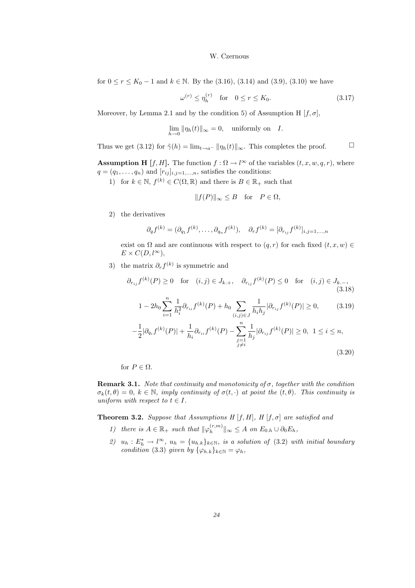for  $0 \le r \le K_0 - 1$  and  $k \in \mathbb{N}$ . By the (3.16), (3.14) and (3.9), (3.10) we have

$$
\omega^{(r)} \le \eta_h^{(r)} \quad \text{for} \quad 0 \le r \le K_0. \tag{3.17}
$$

Moreover, by Lemma 2.1 and by the condition 5) of Assumption H  $[f, \sigma]$ ,

$$
\lim_{h \to 0} \|\eta_h(t)\|_{\infty} = 0, \quad \text{uniformly on} \quad I.
$$

Thus we get (3.12) for  $\tilde{\gamma}(h) = \lim_{t \to a^-} ||\eta_h(t)||_{\infty}$ . This completes the proof.  $\Box$ 

**Assumption H** [f, H]. The function  $f : \Omega \to l^{\infty}$  of the variables  $(t, x, w, q, r)$ , where  $q = (q_1, \ldots, q_n)$  and  $[r_{ij}]_{i,j=1,\ldots,n}$ , satisfies the conditions:

1) for  $k \in \mathbb{N}$ ,  $f^{(k)} \in C(\Omega, \mathbb{R})$  and there is  $B \in \mathbb{R}_+$  such that

$$
||f(P)||_{\infty} \leq B \quad \text{for} \quad P \in \Omega,
$$

2) the derivatives

$$
\partial_q f^{(k)} = (\partial_{q_1} f^{(k)}, \dots, \partial_{q_n} f^{(k)}), \quad \partial_r f^{(k)} = [\partial_{r_{ij}} f^{(k)}]_{i,j=1,\dots,n}
$$

exist on  $\Omega$  and are continuous with respect to  $(q,r)$  for each fixed  $(t,x,w) \in$  $E \times C(D, l^{\infty}),$ 

3) the matrix  $\partial_r f^{(k)}$  is symmetric and

$$
\partial_{r_{ij}} f^{(k)}(P) \ge 0
$$
 for  $(i, j) \in J_{k,+}$ ,  $\partial_{r_{ij}} f^{(k)}(P) \le 0$  for  $(i, j) \in J_{k,-}$ ,  
(3.18)

$$
1 - 2h_0 \sum_{i=1}^{n} \frac{1}{h_i^2} \partial_{r_{ii}} f^{(k)}(P) + h_0 \sum_{(i,j) \in J} \frac{1}{h_i h_j} |\partial_{r_{ij}} f^{(k)}(P)| \ge 0,
$$
 (3.19)

$$
-\frac{1}{2}|\partial_{q_i}f^{(k)}(P)| + \frac{1}{h_i}\partial_{r_{ii}}f^{(k)}(P) - \sum_{\substack{j=1 \ j \neq i}}^n \frac{1}{h_j}|\partial_{r_{ij}}f^{(k)}(P)| \ge 0, \ 1 \le i \le n,
$$
\n(3.20)

for  $P \in \Omega$ .

**Remark 3.1.** Note that continuity and monotonicity of  $\sigma$ , together with the condition  $\sigma_k(t,\theta) = 0, k \in \mathbb{N}$ , imply continuity of  $\sigma(t,\cdot)$  at point the  $(t,\theta)$ . This continuity is uniform with respect to  $t \in I$ .

**Theorem 3.2.** Suppose that Assumptions H  $[f, H]$ , H  $[f, \sigma]$  are satisfied and

- 1) there is  $A \in \mathbb{R}_+$  such that  $\|\varphi_h^{(r,m)}\|$  $\|h_n^{(r,m)}\|_{\infty} \leq A$  on  $E_{0,h} \cup \partial_0 E_h$ ,
- 2)  $u_h: E_h^* \to l^{\infty}, u_h = \{u_{h,k}\}_{k \in \mathbb{N}},$  is a solution of (3.2) with initial boundary condition (3.3) given by  $\{\varphi_{h,k}\}_{k\in\mathbb{N}} = \varphi_h$ ,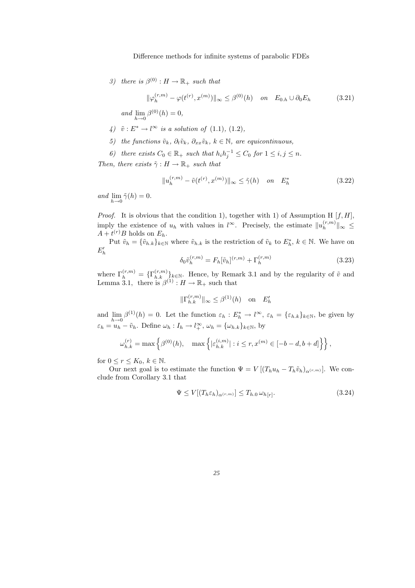3) there is  $\beta^{(0)} : H \to \mathbb{R}_+$  such that

$$
\|\varphi_h^{(r,m)} - \varphi(t^{(r)}, x^{(m)})\|_{\infty} \le \beta^{(0)}(h) \quad on \quad E_{0,h} \cup \partial_0 E_h \tag{3.21}
$$

and  $\lim_{h \to 0} \beta^{(0)}(h) = 0$ ,

- 4)  $\tilde{v}: E^* \to l^{\infty}$  is a solution of (1.1), (1.2),
- 5) the functions  $\tilde{v}_k$ ,  $\partial_t \tilde{v}_k$ ,  $\partial_x \tilde{v}_k$ ,  $k \in \mathbb{N}$ , are equicontinuous,
- 6) there exists  $C_0 \in \mathbb{R}_+$  such that  $h_i h_j^{-1} \leq C_0$  for  $1 \leq i, j \leq n$ .

Then, there exists  $\tilde{\gamma}: H \to \mathbb{R}_+$  such that

$$
||u_h^{(r,m)} - \tilde{v}(t^{(r)}, x^{(m)})||_{\infty} \le \tilde{\gamma}(h) \quad on \quad E_h^* \tag{3.22}
$$

and  $\lim_{h\to 0} \tilde{\gamma}(h) = 0.$ 

*Proof.* It is obvious that the condition 1), together with 1) of Assumption H  $[f, H]$ , imply the existence of  $u_h$  with values in  $l^{\infty}$ . Precisely, the estimate  $||u_h^{(r,m)}||$  $\|h^{(r,m)}\|_{\infty} \leq$  $A + t^{(r)}B$  holds on  $E_h$ .

Put  $\tilde{v}_h = \{\tilde{v}_{h,k}\}_{k\in\mathbb{N}}$  where  $\tilde{v}_{h,k}$  is the restriction of  $\tilde{v}_k$  to  $E_h^*$ ,  $k \in \mathbb{N}$ . We have on  $E'_{h}$ 

$$
\delta_0 \tilde{v}_h^{(r,m)} = F_h[\tilde{v}_h]^{(r,m)} + \Gamma_h^{(r,m)} \tag{3.23}
$$

where  $\Gamma_h^{(r,m)} = {\{\Gamma_{h,k}^{(r,m)}\}_{k \in \mathbb{N}}}$ . Hence, by Remark 3.1 and by the regularity of  $\tilde{v}$  and Lemma 3.1, there is  $\beta^{(1)} : H \to \mathbb{R}_+$  such that

$$
\|\Gamma_{h.k}^{(r,m)}\|_{\infty} \leq \beta^{(1)}(h) \quad \text{on} \quad E_h'
$$

and  $\lim_{h\to 0} \beta^{(1)}(h) = 0$ . Let the function  $\varepsilon_h : E_h^* \to l^{\infty}$ ,  $\varepsilon_h = {\varepsilon_{h,k}}_{k \in \mathbb{N}}$ , be given by  $\varepsilon_h = u_h - \tilde{v}_h$ . Define  $\omega_h : I_h \to l_+^{\infty}$ ,  $\omega_h = {\omega_{h,k}}_{k \in \mathbb{N}}$ , by

$$
\omega_{h.k}^{(r)} = \max\left\{\beta^{(0)}(h), \quad \max\left\{|\varepsilon_{h.k}^{(i,m)}| : i \le r, x^{(m)} \in [-b-d, b+d]\right\}\right\},\,
$$

for  $0 \leq r \leq K_0, k \in \mathbb{N}$ .

Our next goal is to estimate the function  $\Psi = V [(T_h u_h - T_h \tilde{v}_h)_{\alpha^{(r,m)}}]$ . We conclude from Corollary 3.1 that

$$
\Psi \le V[(T_h \varepsilon_h)_{\alpha^{(r,m)}}] \le T_{h,0} \,\omega_{h[r]}.\tag{3.24}
$$

*25*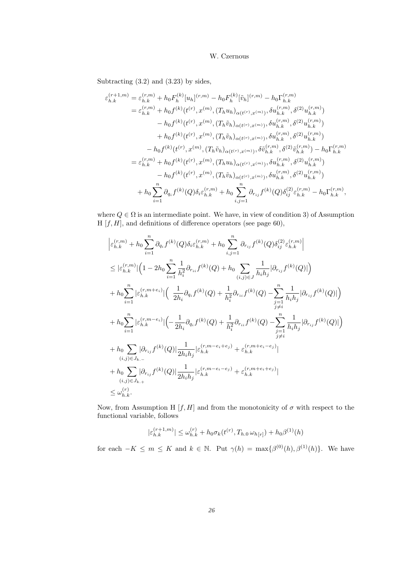Subtracting (3.2) and (3.23) by sides,

$$
\varepsilon_{h,k}^{(r+1,m)} = \varepsilon_{h,k}^{(r,m)} + h_0 F_h^{(k)} [u_h]^{(r,m)} - h_0 F_h^{(k)} [\tilde{v}_h]^{(r,m)} - h_0 \Gamma_{h,k}^{(r,m)}
$$
\n
$$
= \varepsilon_{h,k}^{(r,m)} + h_0 f^{(k)} (t^{(r)}, x^{(m)}, (T_h u_h)_{\alpha(t^{(r)}, x^{(m)})}, \delta u_{h,k}^{(r,m)}, \delta^{(2)} u_{h,k}^{(r,m)})
$$
\n
$$
- h_0 f^{(k)} (t^{(r)}, x^{(m)}, (T_h \tilde{v}_h)_{\alpha(t^{(r)}, x^{(m)})}, \delta u_{h,k}^{(r,m)}, \delta^{(2)} u_{h,k}^{(r,m)})
$$
\n
$$
+ h_0 f^{(k)} (t^{(r)}, x^{(m)}, (T_h \tilde{v}_h)_{\alpha(t^{(r)}, x^{(m)})}, \delta u_{h,k}^{(r,m)}, \delta^{(2)} u_{h,k}^{(r,m)})
$$
\n
$$
- h_0 f^{(k)} (t^{(r)}, x^{(m)}, (T_h \tilde{v}_h)_{\alpha(t^{(r)}, x^{(m)})}, \delta \tilde{v}_{h,k}^{(r,m)}, \delta^{(2)} \tilde{v}_{h,k}^{(r,m)}) - h_0 \Gamma_{h,k}^{(r,m)}
$$
\n
$$
= \varepsilon_{h,k}^{(r,m)} + h_0 f^{(k)} (t^{(r)}, x^{(m)}, (T_h u_h)_{\alpha(t^{(r)}, x^{(m)})}, \delta u_{h,k}^{(r,m)}, \delta^{(2)} u_{h,k}^{(r,m)})
$$
\n
$$
- h_0 f^{(k)} (t^{(r)}, x^{(m)}, (T_h \tilde{v}_h)_{\alpha(t^{(r)}, x^{(m)})}, \delta u_{h,k}^{(r,m)}, \delta^{(2)} u_{h,k}^{(r,m)})
$$
\n
$$
+ h_0 \sum_{i=1}^n \partial_{q_i} f^{(k)}(Q) \delta_i \varepsilon_{h,k}^{(r,m)} + h_0 \sum_{i,j=1}^n \partial_{r_{ij}} f^{(k)}(Q) \delta_{ij}^{(2)} \varepsilon_{h,k}^{(r,m)} - h_0 \Gamma_{h,k}^{(r,m)},
$$

where  $Q \in \Omega$  is an intermediate point. We have, in view of condition 3) of Assumption H  $[f, H]$ , and definitions of difference operators (see page 60),

$$
\begin{split} &\left| \varepsilon_{h,k}^{(r,m)} + h_0 \sum_{i=1}^n \partial_{q_i} f^{(k)}(Q) \delta_i \varepsilon_{h,k}^{(r,m)} + h_0 \sum_{i,j=1}^n \partial_{r_{ij}} f^{(k)}(Q) \delta_{ij}^{(2)} \varepsilon_{h,k}^{(r,m)} \right| \\ &\leq |\varepsilon_{h,k}^{(r,m)}| \Big( 1 - 2 h_0 \sum_{i=1}^n \frac{1}{h_i^2} \partial_{r_{ii}} f^{(k)}(Q) + h_0 \sum_{(i,j) \in J} \frac{1}{h_i h_j} |\partial_{r_{ij}} f^{(k)}(Q)| \Big) \\ &+ h_0 \sum_{i=1}^n |\varepsilon_{h,k}^{(r,m+e_i)}| \Big( \frac{1}{2h_i} \partial_{q_i} f^{(k)}(Q) + \frac{1}{h_i^2} \partial_{r_{ii}} f^{(k)}(Q) - \sum_{\substack{j=1 \ j \neq i}}^n \frac{1}{h_i h_j} |\partial_{r_{ij}} f^{(k)}(Q)| \Big) \\ &+ h_0 \sum_{i=1}^n |\varepsilon_{h,k}^{(r,m-e_i)}| \Big( - \frac{1}{2h_i} \partial_{q_i} f^{(k)}(Q) + \frac{1}{h_i^2} \partial_{r_{ii}} f^{(k)}(Q) - \sum_{\substack{j=1 \ j \neq i}}^n \frac{1}{h_i h_j} |\partial_{r_{ij}} f^{(k)}(Q)| \Big) \\ &+ h_0 \sum_{(i,j) \in J_{k,-}} |\partial_{r_{ij}} f^{(k)}(Q)| \frac{1}{2h_i h_j} |\varepsilon_{h,k}^{(r,m-e_i+e_j)} + \varepsilon_{h,k}^{(r,m+e_i-e_j)} | \\ &\qquad (i,j) \in J_{k,+} \\ &\leq \omega_{h,k}^{(r)} . \end{split}
$$

Now, from Assumption H  $[f, H]$  and from the monotonicity of  $\sigma$  with respect to the functional variable, follows

$$
|\varepsilon_{h.k}^{(r+1,m)}| \le \omega_{h.k}^{(r)} + h_0 \sigma_k(t^{(r)}, T_{h.0} \omega_{h[r]}) + h_0 \beta^{(1)}(h)
$$

for each  $-K \leq m \leq K$  and  $k \in \mathbb{N}$ . Put  $\gamma(h) = \max\{\beta^{(0)}(h), \beta^{(1)}(h)\}\$ . We have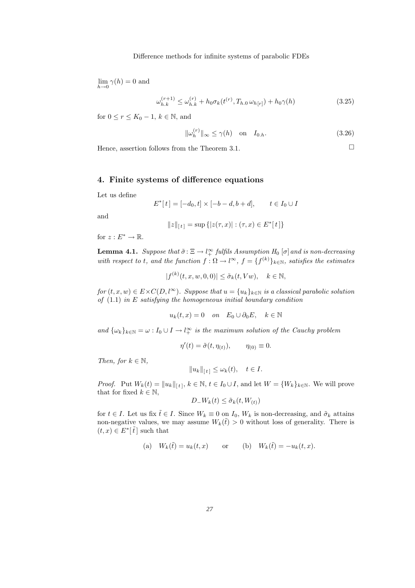$\lim_{h\to 0} \gamma(h) = 0$  and

$$
\omega_{h.k}^{(r+1)} \le \omega_{h.k}^{(r)} + h_0 \sigma_k(t^{(r)}, T_{h.0} \omega_{h[r]}) + h_0 \gamma(h)
$$
\n(3.25)

for  $0 \le r \le K_0 - 1$ ,  $k \in \mathbb{N}$ , and

$$
\|\omega_h^{(r)}\|_{\infty} \le \gamma(h) \quad \text{on} \quad I_{0,h}.\tag{3.26}
$$

Hence, assertion follows from the Theorem 3.1.  $\Box$ 

# 4. Finite systems of difference equations

Let us define

$$
E^*[t] = [-d_0, t] \times [-b - d, b + d], \qquad t \in I_0 \cup I
$$

and

$$
||z||_{[t]} = \sup \{|z(\tau, x)| : (\tau, x) \in E^*[t]\}
$$

for  $z: E^* \to \mathbb{R}$ .

**Lemma 4.1.** Suppose that  $\tilde{\sigma}$ :  $\Xi \to l_+^{\infty}$  fulfils Assumption  $H_0$  [ $\sigma$ ] and is non-decreasing with respect to t, and the function  $f : \Omega \to l^{\infty}$ ,  $f = \{f^{(k)}\}_{k \in \mathbb{N}}$ , satisfies the estimates

$$
|f^{(k)}(t, x, w, 0, 0)| \le \tilde{\sigma}_k(t, Vw), \quad k \in \mathbb{N},
$$

for  $(t, x, w) \in E \times C(D, l^{\infty})$ . Suppose that  $u = \{u_k\}_{k \in \mathbb{N}}$  is a classical parabolic solution of  $(1.1)$  in E satisfying the homogeneous initial boundary condition

$$
u_k(t, x) = 0 \quad on \quad E_0 \cup \partial_0 E, \quad k \in \mathbb{N}
$$

and  $\{\omega_k\}_{k\in\mathbb{N}} = \omega : I_0 \cup I \to l_+^{\infty}$  is the maximum solution of the Cauchy problem

$$
\eta'(t) = \tilde{\sigma}(t, \eta_{(t)}), \qquad \eta_{(0)} \equiv 0.
$$

Then, for  $k \in \mathbb{N}$ ,

$$
||u_k||_{[t]} \le \omega_k(t), \quad t \in I.
$$

*Proof.* Put  $W_k(t) = ||u_k||_{[t]}, k \in \mathbb{N}, t \in I_0 \cup I$ , and let  $W = \{W_k\}_{k \in \mathbb{N}}$ . We will prove that for fixed  $k \in \mathbb{N}$ ,

$$
D_{-}W_{k}(t) \leq \tilde{\sigma}_{k}(t, W_{(t)})
$$

for  $t \in I$ . Let us fix  $\tilde{t} \in I$ . Since  $W_k \equiv 0$  on  $I_0$ ,  $W_k$  is non-decreasing, and  $\tilde{\sigma}_k$  attains non-negative values, we may assume  $W_k(\tilde{t}) > 0$  without loss of generality. There is  $(t, x) \in E^*[\tilde{t}]$  such that

(a) 
$$
W_k(\tilde{t}) = u_k(t, x)
$$
 or (b)  $W_k(\tilde{t}) = -u_k(t, x)$ .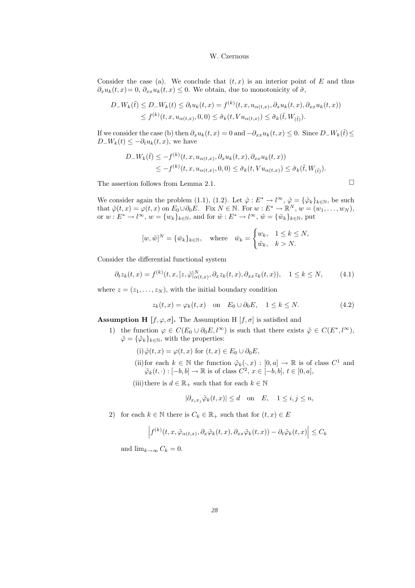Consider the case (a). We conclude that  $(t, x)$  is an interior point of E and thus  $\partial_x u_k(t,x) = 0$ ,  $\partial_{xx} u_k(t,x) \leq 0$ . We obtain, due to monotonicity of  $\tilde{\sigma}$ ,

$$
D_{-}W_{k}(\tilde{t}) \leq D_{-}W_{k}(t) \leq \partial_{t}u_{k}(t,x) = f^{(k)}(t,x,u_{\alpha(t,x)},\partial_{x}u_{k}(t,x),\partial_{xx}u_{k}(t,x))
$$
  

$$
\leq f^{(k)}(t,x,u_{\alpha(t,x)},0,0) \leq \tilde{\sigma}_{k}(t,Vu_{\alpha(t,x)}) \leq \tilde{\sigma}_{k}(\tilde{t},W_{(\tilde{t})}).
$$

If we consider the case (b) then  $\partial_x u_k(t,x) = 0$  and  $-\partial_{xx}u_k(t,x) \leq 0$ . Since  $D-W_k(\tilde{t}) \leq$  $D_{-}W_k(t) \leq -\partial_t u_k(t,x)$ , we have

$$
D_{-}W_{k}(\tilde{t}) \leq -f^{(k)}(t, x, u_{\alpha(t,x)}, \partial_{x}u_{k}(t,x), \partial_{xx}u_{k}(t,x))
$$
  

$$
\leq -f^{(k)}(t, x, u_{\alpha(t,x)}, 0, 0) \leq \tilde{\sigma}_{k}(t, Vu_{\alpha(t,x)}) \leq \tilde{\sigma}_{k}(\tilde{t}, W_{(\tilde{t})}).
$$

The assertion follows from Lemma 2.1.  $\Box$ 

We consider again the problem (1.1), (1.2). Let  $\tilde{\varphi}: E^* \to l^{\infty}, \tilde{\varphi} = {\{\tilde{\varphi}_k\}}_{k \in \mathbb{N}},$  be such that  $\tilde{\varphi}(t,x) = \varphi(t,x)$  on  $E_0 \cup \partial_0 E$ . Fix  $N \in \mathbb{N}$ . For  $w : E^* \to \mathbb{R}^N$ ,  $w = (w_1, \dots, w_N)$ , or  $w: E^* \to l^{\infty}$ ,  $w = \{w_k\}_{k \in \mathbb{N}}$ , and for  $\tilde{w}: E^* \to l^{\infty}$ ,  $\tilde{w} = \{\tilde{w}_k\}_{k \in \mathbb{N}}$ , put

$$
[w, \tilde{w}]^N = \{\bar{w}_k\}_{k \in \mathbb{N}}, \quad \text{where} \quad \bar{w}_k = \begin{cases} w_k, & 1 \le k \le N, \\ \tilde{w}_k, & k > N. \end{cases}
$$

Consider the differential functional system

$$
\partial_t z_k(t,x) = f^{(k)}(t,x,[z,\tilde{\varphi}]^N_{\alpha(t,x)}, \partial_x z_k(t,x), \partial_{xx} z_k(t,x)), \quad 1 \le k \le N,
$$
 (4.1)

where  $z = (z_1, \ldots, z_N)$ , with the initial boundary condition

$$
z_k(t, x) = \varphi_k(t, x) \quad \text{on} \quad E_0 \cup \partial_0 E, \quad 1 \le k \le N. \tag{4.2}
$$

**Assumption H** [ $f, \varphi, \sigma$ ]. The Assumption H [ $f, \sigma$ ] is satisfied and

1) the function  $\varphi \in C(E_0 \cup \partial_0 E, l^{\infty})$  is such that there exists  $\tilde{\varphi} \in C(E^*, l^{\infty})$ ,  $\tilde{\varphi} = {\{\tilde{\varphi}_k\}}_{k \in \mathbb{N}},$  with the properties:

(i)  $\tilde{\varphi}(t,x) = \varphi(t,x)$  for  $(t,x) \in E_0 \cup \partial_0 E$ ,

- (ii) for each  $k \in \mathbb{N}$  the function  $\tilde{\varphi}_k(\cdot, x) : [0, a] \to \mathbb{R}$  is of class  $C^1$  and  $\tilde{\varphi}_k(t, \cdot) : [-b, b] \to \mathbb{R}$  is of class  $C^2$ ,  $x \in [-b, b]$ ,  $t \in [0, a]$ ,
- (iii)there is  $d \in \mathbb{R}_+$  such that for each  $k \in \mathbb{N}$

$$
|\partial_{x_i x_j} \tilde{\varphi}_k(t, x)| \le d \quad \text{on} \quad E, \quad 1 \le i, j \le n,
$$

2) for each  $k \in \mathbb{N}$  there is  $C_k \in \mathbb{R}_+$  such that for  $(t, x) \in E$ 

$$
\left|f^{(k)}(t,x,\tilde{\varphi}_{\alpha(t,x)},\partial_x\tilde{\varphi}_k(t,x),\partial_{xx}\tilde{\varphi}_k(t,x))-\partial_t\tilde{\varphi}_k(t,x)\right|\leq C_k
$$

and  $\lim_{k\to\infty} C_k = 0$ .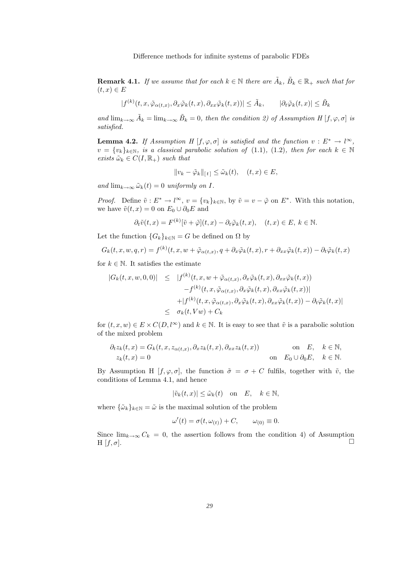**Remark 4.1.** If we assume that for each  $k \in \mathbb{N}$  there are  $\tilde{A}_k$ ,  $\tilde{B}_k \in \mathbb{R}_+$  such that for  $(t,x) \in E$ 

$$
|f^{(k)}(t, x, \tilde{\varphi}_{\alpha(t, x)}, \partial_x \tilde{\varphi}_k(t, x), \partial_{xx} \tilde{\varphi}_k(t, x))| \leq \tilde{A}_k, \qquad |\partial_t \tilde{\varphi}_k(t, x)| \leq \tilde{B}_k
$$

and  $\lim_{k\to\infty} \tilde{A}_k = \lim_{k\to\infty} \tilde{B}_k = 0$ , then the condition 2) of Assumption H  $[f, \varphi, \sigma]$  is satisfied.

**Lemma 4.2.** If Assumption H  $[f, \varphi, \sigma]$  is satisfied and the function  $v : E^* \to l^{\infty}$ ,  $v = \{v_k\}_{k \in \mathbb{N}}$ , is a classical parabolic solution of (1.1), (1.2), then for each  $k \in \mathbb{N}$ exists  $\tilde{\omega}_k \in C(I, \mathbb{R}_+)$  such that

$$
||v_k - \tilde{\varphi}_k||_{[t]} \leq \tilde{\omega}_k(t), \quad (t, x) \in E,
$$

and  $\lim_{k\to\infty} \tilde{\omega}_k(t) = 0$  uniformly on I.

*Proof.* Define  $\tilde{v}: E^* \to l^{\infty}$ ,  $v = \{v_k\}_{k \in \mathbb{N}}$ , by  $\tilde{v} = v - \tilde{\varphi}$  on  $E^*$ . With this notation, we have  $\tilde{v}(t,x) = 0$  on  $E_0 \cup \partial_0 E$  and

$$
\partial_t \tilde{v}(t,x) = F^{(k)}[\tilde{v} + \tilde{\varphi}](t,x) - \partial_t \tilde{\varphi}_k(t,x), \quad (t,x) \in E, \ k \in \mathbb{N}.
$$

Let the function  ${G_k}_{k \in \mathbb{N}} = G$  be defined on  $\Omega$  by

$$
G_k(t, x, w, q, r) = f^{(k)}(t, x, w + \tilde{\varphi}_{\alpha(t, x)}, q + \partial_x \tilde{\varphi}_k(t, x), r + \partial_{xx} \tilde{\varphi}_k(t, x)) - \partial_t \tilde{\varphi}_k(t, x)
$$

for  $k \in \mathbb{N}$ . It satisfies the estimate

$$
|G_k(t, x, w, 0, 0)| \leq |f^{(k)}(t, x, w + \tilde{\varphi}_{\alpha(t, x)}, \partial_x \tilde{\varphi}_k(t, x), \partial_{xx} \tilde{\varphi}_k(t, x))
$$
  

$$
-f^{(k)}(t, x, \tilde{\varphi}_{\alpha(t, x)}, \partial_x \tilde{\varphi}_k(t, x), \partial_{xx} \tilde{\varphi}_k(t, x))|
$$
  

$$
+|f^{(k)}(t, x, \tilde{\varphi}_{\alpha(t, x)}, \partial_x \tilde{\varphi}_k(t, x), \partial_{xx} \tilde{\varphi}_k(t, x)) - \partial_t \tilde{\varphi}_k(t, x)|
$$
  

$$
\leq \sigma_k(t, Vw) + C_k
$$

for  $(t, x, w) \in E \times C(D, l^{\infty})$  and  $k \in \mathbb{N}$ . It is easy to see that  $\tilde{v}$  is a parabolic solution of the mixed problem

$$
\partial_t z_k(t,x) = G_k(t,x,z_{\alpha(t,x)},\partial_x z_k(t,x),\partial_{xx} z_k(t,x)) \quad \text{on} \quad E, \quad k \in \mathbb{N},
$$
  

$$
z_k(t,x) = 0 \quad \text{on} \quad E_0 \cup \partial_0 E, \quad k \in \mathbb{N}.
$$

By Assumption H  $[f, \varphi, \sigma]$ , the function  $\tilde{\sigma} = \sigma + C$  fulfils, together with  $\tilde{v}$ , the conditions of Lemma 4.1, and hence

$$
|\tilde{v}_k(t,x)| \le \tilde{\omega}_k(t) \quad \text{on} \quad E, \quad k \in \mathbb{N},
$$

where  $\{\tilde{\omega}_k\}_{k\in\mathbb{N}} = \tilde{\omega}$  is the maximal solution of the problem

$$
\omega'(t) = \sigma(t, \omega_{(t)}) + C, \qquad \omega_{(0)} \equiv 0.
$$

Since  $\lim_{k\to\infty} C_k = 0$ , the assertion follows from the condition 4) of Assumption  $H[f,\sigma]$ .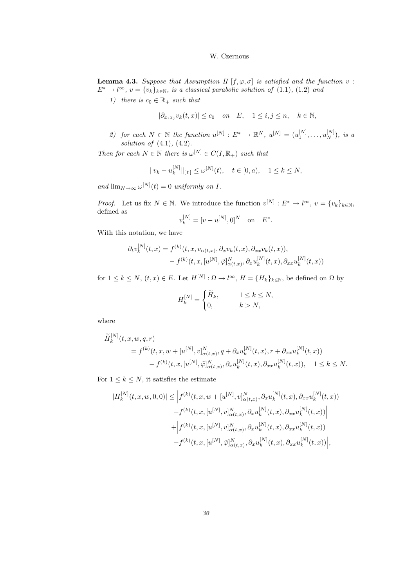**Lemma 4.3.** Suppose that Assumption H  $[f, \varphi, \sigma]$  is satisfied and the function v:  $E^* \to l^{\infty}, v = \{v_k\}_{k \in \mathbb{N}},$  is a classical parabolic solution of (1.1), (1.2) and

1) there is  $c_0 \in \mathbb{R}_+$  such that

$$
|\partial_{x_ix_j}v_k(t,x)| \le c_0 \quad on \quad E, \quad 1 \le i,j \le n, \quad k \in \mathbb{N},
$$

2) for each  $N \in \mathbb{N}$  the function  $u^{[N]}: E^* \to \mathbb{R}^N$ ,  $u^{[N]} = (u_1^{[N]}, \dots, u_N^{[N]})$ , is a solution of  $(4.1)$ ,  $(4.2)$ .

Then for each  $N \in \mathbb{N}$  there is  $\omega^{[N]} \in C(I, \mathbb{R}_+)$  such that

$$
||v_k - u_k^{[N]}||_{[t]} \le \omega^{[N]}(t), \quad t \in [0, a), \quad 1 \le k \le N,
$$

and  $\lim_{N\to\infty}\omega^{[N]}(t)=0$  uniformly on I.

*Proof.* Let us fix  $N \in \mathbb{N}$ . We introduce the function  $v^{[N]}: E^* \to l^{\infty}, v = \{v_k\}_{k \in \mathbb{N}},$ defined as

$$
v_k^{[N]} = [v - u^{[N]}, 0]^N
$$
 on  $E^*$ .

With this notation, we have

$$
\partial_t v_k^{[N]}(t,x) = f^{(k)}(t,x,v_{\alpha(t,x)},\partial_x v_k(t,x),\partial_{xx} v_k(t,x)),
$$
  

$$
- f^{(k)}(t,x,[u^{[N]},\tilde{\varphi}]_{\alpha(t,x)}^N,\partial_x u_k^{[N]}(t,x),\partial_{xx} u_k^{[N]}(t,x))
$$

for  $1 \leq k \leq N$ ,  $(t, x) \in E$ . Let  $H^{[N]} : \Omega \to l^{\infty}$ ,  $H = \{H_k\}_{k \in \mathbb{N}}$ , be defined on  $\Omega$  by

$$
H_k^{[N]} = \begin{cases} \widetilde{H}_k, \qquad & 1 \leq k \leq N, \\ 0, \qquad & k > N, \end{cases}
$$

where

$$
\widetilde{H}_{k}^{[N]}(t, x, w, q, r) = f^{(k)}(t, x, w + [u^{[N]}, v]_{\alpha(t, x)}^{N}, q + \partial_{x} u_{k}^{[N]}(t, x), r + \partial_{xx} u_{k}^{[N]}(t, x))
$$
  

$$
- f^{(k)}(t, x, [u^{[N]}, \tilde{\varphi}]_{\alpha(t, x)}^{N}, \partial_{x} u_{k}^{[N]}(t, x), \partial_{xx} u_{k}^{[N]}(t, x)), \quad 1 \leq k \leq N.
$$

For  $1 \leq k \leq N$ , it satisfies the estimate

$$
|H_k^{[N]}(t, x, w, 0, 0)| \leq \Big| f^{(k)}(t, x, w + [u^{[N]}, v]_{\alpha(t, x)}^N, \partial_x u_k^{[N]}(t, x), \partial_{xx} u_k^{[N]}(t, x)) - f^{(k)}(t, x, [u^{[N]}, v]_{\alpha(t, x)}^N, \partial_x u_k^{[N]}(t, x), \partial_{xx} u_k^{[N]}(t, x))\Big| + \Big| f^{(k)}(t, x, [u^{[N]}, v]_{\alpha(t, x)}^N, \partial_x u_k^{[N]}(t, x), \partial_{xx} u_k^{[N]}(t, x)) - f^{(k)}(t, x, [u^{[N]}, \tilde{\varphi}]_{\alpha(t, x)}^N, \partial_x u_k^{[N]}(t, x), \partial_{xx} u_k^{[N]}(t, x))\Big|,
$$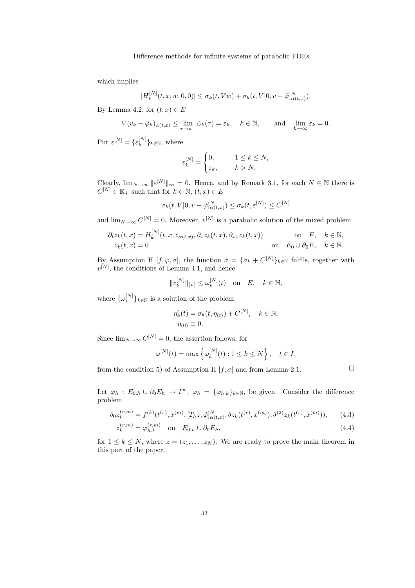which implies

$$
|H_k^{[N]}(t,x,w,0,0)| \leq \sigma_k(t,Vw) + \sigma_k(t,V[0,v-\tilde{\varphi}]^N_{\alpha(t,x)}).
$$

By Lemma 4.2, for  $(t, x) \in E$ 

$$
V(v_k - \tilde{\varphi}_k)_{\alpha(t,x)} \le \lim_{\tau \to a^-} \tilde{\omega}_k(\tau) = \varepsilon_k, \quad k \in \mathbb{N}, \quad \text{and} \quad \lim_{k \to \infty} \varepsilon_k = 0.
$$

Put  $\varepsilon^{[N]} = {\{\varepsilon_k^{[N]}$  $\{e^{[N]}\}_k \in \mathbb{N}$ , where

$$
\varepsilon_k^{[N]} = \begin{cases} 0, & 1 \le k \le N, \\ \varepsilon_k, & k > N. \end{cases}
$$

Clearly,  $\lim_{N\to\infty} ||\varepsilon^{[N]}||_{\infty} = 0$ . Hence, and by Remark 3.1, for each  $N \in \mathbb{N}$  there is  $C^{[N]} \in \mathbb{R}_+$  such that for  $k \in \mathbb{N}$ ,  $(t, x) \in E$ 

$$
\sigma_k(t, V[0, v - \tilde{\varphi}]_{\alpha(t,x)}^N) \le \sigma_k(t, \varepsilon^{[N]}) \le C^{[N]}
$$

and  $\lim_{N\to\infty} C^{[N]} = 0$ . Moreover,  $v^{[N]}$  is a parabolic solution of the mixed problem

$$
\partial_t z_k(t, x) = H_k^{[N]}(t, x, z_{\alpha(t, x)}, \partial_x z_k(t, x), \partial_{xx} z_k(t, x)) \quad \text{on} \quad E, \quad k \in \mathbb{N},
$$
  
\n
$$
z_k(t, x) = 0 \quad \text{on} \quad E_0 \cup \partial_0 E, \quad k \in \mathbb{N}.
$$

By Assumption H  $[f, \varphi, \sigma]$ , the function  $\tilde{\sigma} = {\{\sigma_k + C^{[N]}\}}_{k \in \mathbb{N}}$  fulfils, together with  $v^{[N]}$ , the conditions of Lemma 4.1, and hence

$$
||v_k^{[N]}||_{[t]} \le \omega_k^{[N]}(t) \quad \text{on} \quad E, \quad k \in \mathbb{N},
$$

where  $\{\omega_k^{[N]}$  $\binom{[N]}{k}$ <sub>k∈N</sub> is a solution of the problem

$$
\eta'_k(t) = \sigma_k(t, \eta_{(t)}) + C^{[N]}, \quad k \in \mathbb{N},
$$
  

$$
\eta_{(0)} \equiv 0.
$$

Since  $\lim_{N\to\infty} C^{[N]}=0$ , the assertion follows, for

$$
\omega^{[N]}(t) = \max \left\{ \omega_k^{[N]}(t) : 1 \le k \le N \right\}, \quad t \in I,
$$

from the condition 5) of Assumption H  $[f, \sigma]$  and from Lemma 2.1.  $\Box$ 

Let  $\varphi_h : E_{0,h} \cup \partial_0 E_h \to l^{\infty}, \varphi_h = {\varphi_{h,k}}_{k \in \mathbb{N}},$  be given. Consider the difference problem

$$
\delta_0 z_k^{(r,m)} = f^{(k)}(t^{(r)}, x^{(m)}, [T_h z, \tilde{\varphi}]_{\alpha(t,x)}^N, \delta z_k(t^{(r)}, x^{(m)}), \delta^{(2)} z_k(t^{(r)}, x^{(m)})), \tag{4.3}
$$

$$
z_k^{(r,m)} = \varphi_{h,k}^{(r,m)} \quad \text{on} \quad E_{0,h} \cup \partial_0 E_h,\tag{4.4}
$$

for  $1 \leq k \leq N$ , where  $z = (z_1, \ldots, z_N)$ . We are ready to prove the main theorem in this part of the paper.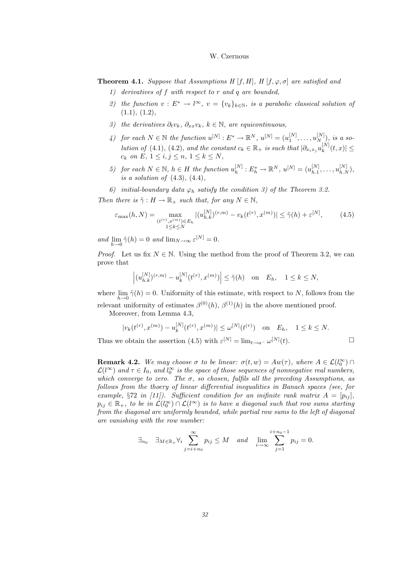**Theorem 4.1.** Suppose that Assumptions H [f, H], H [f,  $\varphi$ ,  $\sigma$ ] are satisfied and

- 1) derivatives of f with respect to r and q are bounded,
- 2) the function  $v : E^* \to l^{\infty}$ ,  $v = \{v_k\}_{k \in \mathbb{N}}$ , is a parabolic classical solution of  $(1.1), (1.2),$
- 3) the derivatives  $\partial_t v_k$ ,  $\partial_{xx} v_k$ ,  $k \in \mathbb{N}$ , are equicontinuous,
- 4) for each  $N \in \mathbb{N}$  the function  $u^{[N]}: E^* \to \mathbb{R}^N$ ,  $u^{[N]} = (u_1^{[N]}, \dots, u_{N}^{[N]}),$  is a solution of (4.1), (4.2), and the constant  $c_k \in \mathbb{R}_+$  is such that  $|\partial_{x_ix_j}u_k^{[N]}|$  $|_{k}^{\mathbb{N}\mathbb{N}}(t,x)|\leq$  $c_k$  on E,  $1 \leq i, j \leq n, 1 \leq k \leq N$ ,
- 5) for each  $N \in \mathbb{N}$ ,  $h \in H$  the function  $u_h^{[N]}$  $h^{[N]}_h: E_h^* \to \mathbb{R}^N, u^{[N]} = (u_{h,1}^{[N]})$  $\substack{[N] \ h.1}} \ldots, u_{h.N}^{[N]}),$ is a solution of  $(4.3)$ ,  $(4.4)$ ,
- 6) initial-boundary data  $\varphi_h$  satisfy the condition 3) of the Theorem 3.2.

Then there is  $\tilde{\gamma}: H \to \mathbb{R}_+$  such that, for any  $N \in \mathbb{N}$ ,

$$
\varepsilon_{\max}(h, N) = \max_{\substack{(t^{(r)}, x^{(m)}) \in E_h \\ 1 \le k \le N}} |(u_{h,k}^{[N]})^{(r,m)} - v_k(t^{(r)}, x^{(m)})| \le \tilde{\gamma}(h) + \varepsilon^{[N]},
$$
(4.5)

and  $\lim_{h\to 0} \tilde{\gamma}(h) = 0$  and  $\lim_{N\to\infty} \varepsilon^{[N]} = 0$ .

*Proof.* Let us fix  $N \in \mathbb{N}$ . Using the method from the proof of Theorem 3.2, we can prove that

$$
\left| (u_{h,k}^{[N]})^{(r,m)} - u_k^{[N]}(t^{(r)}, x^{(m)}) \right| \le \tilde{\gamma}(h) \quad \text{on} \quad E_h, \quad 1 \le k \le N,
$$

where  $\lim_{h\to 0} \tilde{\gamma}(h) = 0$ . Uniformity of this estimate, with respect to N, follows from the relevant uniformity of estimates  $\beta^{(0)}(h)$ ,  $\beta^{(1)}(h)$  in the above mentioned proof.

Moreover, from Lemma 4.3,

$$
|v_k(t^{(r)}, x^{(m)}) - u_k^{[N]}(t^{(r)}, x^{(m)})| \le \omega^{[N]}(t^{(r)}) \quad \text{on} \quad E_h, \quad 1 \le k \le N.
$$

Thus we obtain the assertion (4.5) with  $\varepsilon^{[N]} = \lim_{t \to a^{-}} \omega^{[N]}$  $(t).$ 

**Remark 4.2.** We may choose  $\sigma$  to be linear:  $\sigma(t, w) = Aw(\tau)$ , where  $A \in \mathcal{L}(l_0^{\infty}) \cap \mathcal{L}(l_0^{\infty})$  $\mathcal{L}(l^{\infty})$  and  $\tau \in I_0$ , and  $l_0^{\infty}$  is the space of those sequences of nonnegative real numbers, which converge to zero. The  $\sigma$ , so chosen, fulfils all the preceding Assumptions, as follows from the thoery of linear differential inequalities in Banach spaces (see, for example, §72 in (11)). Sufficient condition for an inifinite rank matrix  $A = [p_{ij}]$ .  $p_{ij} \in \mathbb{R}_+$ , to be in  $\mathcal{L}(l_0^{\infty}) \cap \mathcal{L}(l^{\infty})$  is to have a diagonal such that row sums starting from the diagonal are uniformly bounded, while partial row sums to the left of diagonal are vanishing with the row number:

$$
\exists_{n_0} \quad \exists_{M \in \mathbb{R}_+} \forall_i \sum_{j=i+n_0}^{\infty} p_{ij} \le M \quad and \quad \lim_{i \to \infty} \sum_{j=1}^{i+n_0-1} p_{ij} = 0.
$$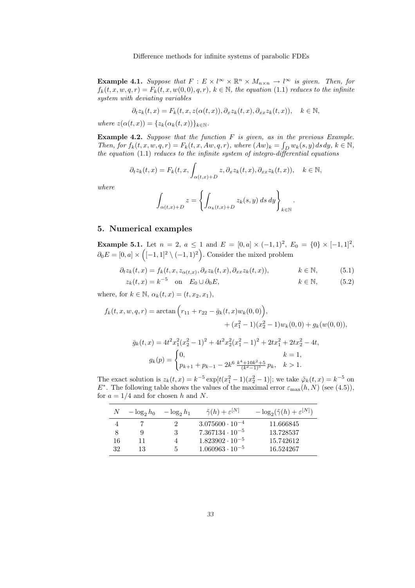**Example 4.1.** Suppose that  $F: E \times l^{\infty} \times \mathbb{R}^n \times M_{n \times n} \to l^{\infty}$  is given. Then, for  $f_k(t,x,w,q,r) = F_k(t,x,w(0,0),q,r), k \in \mathbb{N}$ , the equation (1.1) reduces to the infinite system with deviating variables

$$
\partial_t z_k(t,x) = F_k(t,x,z(\alpha(t,x)),\partial_x z_k(t,x),\partial_{xx} z_k(t,x)), \quad k \in \mathbb{N},
$$

where  $z(\alpha(t,x)) = \{z_k(\alpha_k(t,x))\}_{k\in\mathbb{N}}$ .

**Example 4.2.** Suppose that the function  $F$  is given, as in the previous Example. Then, for  $f_k(t, x, w, q, r) = F_k(t, x, Aw, q, r)$ , where  $(Aw)_k = \int_D w_k(s, y) ds dy$ ,  $k \in \mathbb{N}$ , the equation  $(1.1)$  reduces to the infinite system of integro-differential equations

$$
\partial_t z_k(t,x) = F_k(t,x, \int_{\alpha(t,x)+D} z, \partial_x z_k(t,x), \partial_{xx} z_k(t,x)), \quad k \in \mathbb{N},
$$

where

$$
\int_{\alpha(t,x)+D} z = \left\{ \int_{\alpha_k(t,x)+D} z_k(s,y) \, ds \, dy \right\}_{k \in \mathbb{N}}.
$$

#### 5. Numerical examples

**Example 5.1.** Let  $n = 2$ ,  $a \le 1$  and  $E = [0, a] \times (-1, 1)^2$ ,  $E_0 = \{0\} \times [-1, 1]^2$ ,  $\partial_0 E = [0, a] \times \left( [-1, 1]^2 \setminus (-1, 1)^2 \right)$ . Consider the mixed problem

$$
\partial_t z_k(t, x) = f_k(t, x, z_{\alpha(t, x)}, \partial_x z_k(t, x), \partial_{xx} z_k(t, x)), \qquad k \in \mathbb{N}, \qquad (5.1)
$$

$$
z_k(t, x) = k^{-5} \quad \text{on} \quad E_0 \cup \partial_0 E, \qquad k \in \mathbb{N}, \tag{5.2}
$$

where, for  $k \in \mathbb{N}$ ,  $\alpha_k(t,x) = (t,x_2,x_1)$ ,

$$
f_k(t, x, w, q, r) = \arctan\left(r_{11} + r_{22} - \bar{g}_k(t, x)w_k(0, 0)\right),
$$
  

$$
+ (x_1^2 - 1)(x_2^2 - 1)w_k(0, 0) + g_k(w(0, 0)),
$$
  

$$
\bar{g}_k(t, x) = 4t^2x_1^2(x_2^2 - 1)^2 + 4t^2x_2^2(x_1^2 - 1)^2 + 2tx_1^2 + 2tx_2^2 - 4t,
$$
  

$$
g_k(p) = \begin{cases} 0, & k = 1, \\ p_{k+1} + p_{k-1} - 2k^6 \frac{k^4 + 10k^2 + 5}{(k^2 - 1)^5}p_k, & k > 1. \end{cases}
$$

The exact solution is  $z_k(t,x) = k^{-5} \exp[t(x_1^2 - 1)(x_2^2 - 1)]$ ; we take  $\tilde{\varphi}_k(t,x) = k^{-5}$  on  $E^*$ . The following table shows the values of the maximal error  $\varepsilon_{\text{max}}(h, N)$  (see (4.5)), for  $a = 1/4$  and for chosen h and N.

|    | $-\log_2 h_0$ | $-\log_2 h_1$ | $\tilde{\gamma}(h)+\varepsilon^{\lfloor N\rfloor}$ | $-\log_2(\tilde{\gamma}(h)+\varepsilon^{ N })$ |
|----|---------------|---------------|----------------------------------------------------|------------------------------------------------|
|    |               |               | $3.075600 \cdot 10^{-4}$                           | 11.666845                                      |
| 8  |               | 3             | $7.367134 \cdot 10^{-5}$                           | 13.728537                                      |
| 16 | 11            |               | $1.823902 \cdot 10^{-5}$                           | 15.742612                                      |
| 32 | 13            | 5             | $1.060963 \cdot 10^{-5}$                           | 16.524267                                      |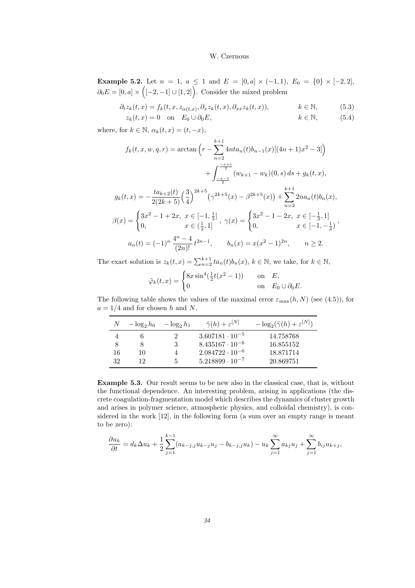**Example 5.2.** Let  $n = 1$ ,  $a \le 1$  and  $E = [0, a] \times (-1, 1)$ ,  $E_0 = \{0\} \times [-2, 2]$ ,  $\partial_0 E = [0, a] \times \left( [-2, -1] \cup [1, 2] \right)$ . Consider the mixed problem

$$
\partial_t z_k(t, x) = f_k(t, x, z_{\alpha(t, x)}, \partial_x z_k(t, x), \partial_{xx} z_k(t, x)), \qquad k \in \mathbb{N}, \qquad (5.3)
$$

$$
z_k(t,x) = 0 \quad \text{on} \quad E_0 \cup \partial_0 E, \qquad k \in \mathbb{N}, \tag{5.4}
$$

where, for  $k \in \mathbb{N}$ ,  $\alpha_k(t, x) = (t, -x)$ ,

$$
f_k(t, x, w, q, r) = \arctan\left(r - \sum_{n=2}^{k+1} 4nta_n(t)b_{n-1}(x)[(4n+1)x^2 - 3]\right)
$$
  
+ 
$$
\int_{-\frac{x-1}{2}}^{-\frac{x+1}{2}} (w_{k+1} - w_k)(0, s) ds + g_k(t, x),
$$
  

$$
g_k(t, x) = -\frac{ta_{k+2}(t)}{2(2k+5)} \left(\frac{3}{4}\right)^{2k+5} \left(\gamma^{2k+5}(x) - \beta^{2k+5}(x)\right) + \sum_{n=2}^{k+1} 2na_n(t)b_n(x),
$$
  

$$
\beta(x) = \begin{cases} 3x^2 - 1 + 2x, & x \in [-1, \frac{1}{3}], \\ 0, & x \in (\frac{1}{3}, 1] \end{cases}, \gamma(x) = \begin{cases} 3x^2 - 1 - 2x, & x \in [-\frac{1}{3}, 1] \\ 0, & x \in [-1, -\frac{1}{3}) \end{cases},
$$
  

$$
a_n(t) = (-1)^n \frac{4^n - 4}{(2n)!} t^{2n-1}, \qquad b_n(x) = x(x^2 - 1)^{2n}, \qquad n \ge 2.
$$

The exact solution is  $z_k(t, x) = \sum_{n=2}^{k+1} ta_n(t) b_n(x)$ ,  $k \in \mathbb{N}$ ; we take, for  $k \in \mathbb{N}$ ,

$$
\tilde{\varphi}_k(t,x) = \begin{cases} 8x\sin^4(\frac{1}{2}t(x^2-1)) & \text{on} \quad E, \\ 0 & \text{on} \quad E_0 \cup \partial_0 E. \end{cases}
$$

The following table shows the values of the maximal error  $\varepsilon_{\text{max}}(h,N)$  (see (4.5)), for  $a = 1/4$  and for chosen h and N.

|    | $-\log_2 h_0 - \log_2 h_1$ |   | $\tilde{\gamma}(h) + \varepsilon^{\lfloor N \rfloor}$ | $-\log_2(\tilde{\gamma}(h) + \varepsilon^{ N })$ |
|----|----------------------------|---|-------------------------------------------------------|--------------------------------------------------|
|    |                            | 2 | $3.607181 \cdot 10^{-5}$                              | 14.758768                                        |
| 8  |                            | 3 | $8.435167 \cdot 10^{-6}$                              | 16.855152                                        |
| 16 | 10                         | 4 | $2.084722 \cdot 10^{-6}$                              | 18.871714                                        |
| 32 | 12                         | 5 | $5.218899 \cdot 10^{-7}$                              | 20.869751                                        |

Example 5.3. Our result seems to be new also in the classical case, that is, without the functional dependence. An interesting problem, arising in applications (the discrete coagulation-fragmentation model which describes the dynamics of cluster growth and arises in polymer science, atmospheric physics, and colloidal chemistry), is considered in the work [12], in the following form (a sum over an empty range is meant to be zero):

$$
\frac{\partial u_k}{\partial t} = d_k \Delta u_k + \frac{1}{2} \sum_{j=1}^{k-1} (a_{k-j,j} u_{k-j} u_j - b_{k-j,j} u_k) - u_k \sum_{j=1}^{\infty} a_{kj} u_j + \sum_{j=1}^{\infty} b_{ij} u_{k+j},
$$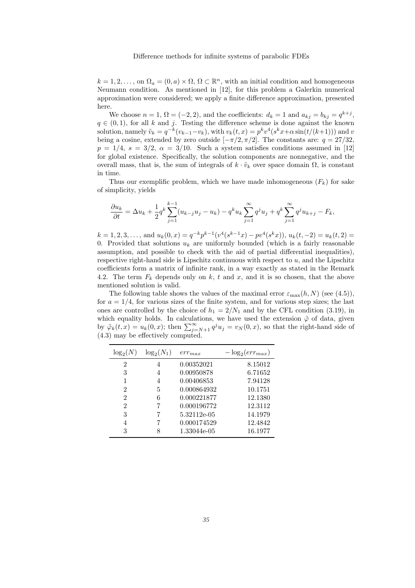$k = 1, 2, \ldots$ , on  $\Omega_a = (0, a) \times \Omega$ ,  $\Omega \subset \mathbb{R}^n$ , with an initial condition and homogeneous Neumann condition. As mentioned in [12], for this problem a Galerkin numerical approximation were considered; we apply a finite difference approximation, presented here.

We choose  $n = 1$ ,  $\Omega = (-2, 2)$ , and the coefficients:  $d_k = 1$  and  $a_{kj} = b_{kj} = q^{k+j}$ ,  $q \in (0, 1)$ , for all k and j. Testing the difference scheme is done against the known solution, namely  $\tilde{v}_k = q^{-k}(v_{k-1}-v_k)$ , with  $v_k(t,x) = p^k v^4(s^k x + \alpha \sin(t/(k+1)))$  and v being a cosine, extended by zero outside  $[-\pi/2, \pi/2]$ . The constants are:  $q = 27/32$ ,  $p = 1/4$ ,  $s = 3/2$ ,  $\alpha = 3/10$ . Such a system satisfies conditions assumed in [12] for global existence. Specifically, the solution components are nonnegative, and the overall mass, that is, the sum of integrals of  $k \cdot \tilde{v}_k$  over space domain  $\Omega$ , is constant in time.

Thus our exemplific problem, which we have made inhomogeneous  $(F_k)$  for sake of simplicity, yields

$$
\frac{\partial u_k}{\partial t} = \Delta u_k + \frac{1}{2} q^k \sum_{j=1}^{k-1} (u_{k-j} u_j - u_k) - q^k u_k \sum_{j=1}^{\infty} q^j u_j + q^k \sum_{j=1}^{\infty} q^j u_{k+j} - F_k,
$$

 $k = 1, 2, 3, \ldots$ , and  $u_k(0, x) = q^{-k} p^{k-1} (v^4(s^{k-1} x) - p v^4(s^k x))$ ,  $u_k(t, -2) = u_k(t, 2) =$ 0. Provided that solutions  $u_k$  are uniformly bounded (which is a fairly reasonable assumption, and possible to check with the aid of partial differential inequalities), respective right-hand side is Lipschitz continuous with respect to  $u$ , and the Lipschitz coefficients form a matrix of infinite rank, in a way exactly as stated in the Remark 4.2. The term  $F_k$  depends only on k, t and x, and it is so chosen, that the above mentioned solution is valid.

The following table shows the values of the maximal error  $\varepsilon_{\text{max}}(h,N)$  (see (4.5)), for  $a = 1/4$ , for various sizes of the finite system, and for various step sizes; the last ones are controlled by the choice of  $h_1 = 2/N_1$  and by the CFL condition (3.19), in which equality holds. In calculations, we have used the extension  $\tilde{\varphi}$  of data, given by  $\tilde{\varphi}_k(t,x) = u_k(0,x)$ ; then  $\sum_{j=N+1}^{\infty} q^j u_j = v_N(0,x)$ , so that the right-hand side of (4.3) may be effectively computed.

| $\log_2(N)$    | $\log_2(N_1)$ | $err_{max}$ | $-\log_2(err_{max})$ |
|----------------|---------------|-------------|----------------------|
| 2              | 4             | 0.00352021  | 8.15012              |
| 3              | 4             | 0.00950878  | 6.71652              |
|                | 4             | 0.00406853  | 7.94128              |
| $\mathfrak{D}$ | 5             | 0.000864932 | 10.1751              |
| 2              | 6             | 0.000221877 | 12.1380              |
| $\overline{2}$ |               | 0.000196772 | 12.3112              |
| 3              |               | 5.32112e-05 | 14.1979              |
| 4              |               | 0.000174529 | 12.4842              |
| 3              | 8             | 1.33044e-05 | 16.1977              |